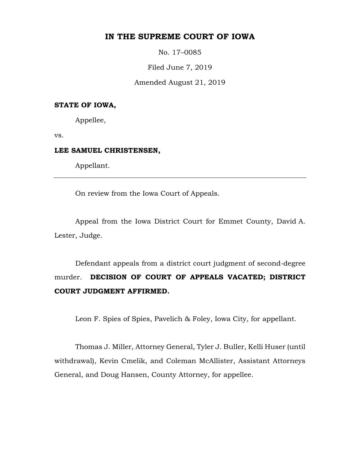## **IN THE SUPREME COURT OF IOWA**

No. 17–0085

Filed June 7, 2019

Amended August 21, 2019

## **STATE OF IOWA,**

Appellee,

vs.

## **LEE SAMUEL CHRISTENSEN,**

Appellant.

On review from the Iowa Court of Appeals.

Appeal from the Iowa District Court for Emmet County, David A. Lester, Judge.

Defendant appeals from a district court judgment of second-degree murder. **DECISION OF COURT OF APPEALS VACATED; DISTRICT COURT JUDGMENT AFFIRMED.**

Leon F. Spies of Spies, Pavelich & Foley, Iowa City, for appellant.

Thomas J. Miller, Attorney General, Tyler J. Buller, Kelli Huser (until withdrawal), Kevin Cmelik, and Coleman McAllister, Assistant Attorneys General, and Doug Hansen, County Attorney, for appellee.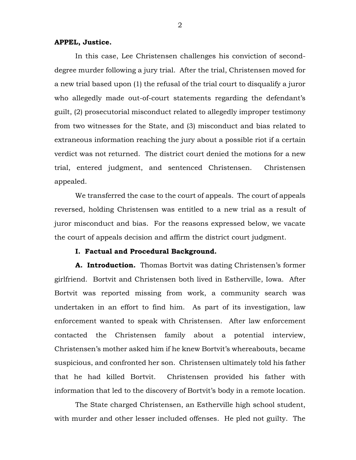## **APPEL, Justice.**

In this case, Lee Christensen challenges his conviction of seconddegree murder following a jury trial. After the trial, Christensen moved for a new trial based upon (1) the refusal of the trial court to disqualify a juror who allegedly made out-of-court statements regarding the defendant's guilt, (2) prosecutorial misconduct related to allegedly improper testimony from two witnesses for the State, and (3) misconduct and bias related to extraneous information reaching the jury about a possible riot if a certain verdict was not returned. The district court denied the motions for a new trial, entered judgment, and sentenced Christensen. Christensen appealed.

We transferred the case to the court of appeals. The court of appeals reversed, holding Christensen was entitled to a new trial as a result of juror misconduct and bias. For the reasons expressed below, we vacate the court of appeals decision and affirm the district court judgment.

#### **I. Factual and Procedural Background.**

**A. Introduction.** Thomas Bortvit was dating Christensen's former girlfriend. Bortvit and Christensen both lived in Estherville, Iowa. After Bortvit was reported missing from work, a community search was undertaken in an effort to find him. As part of its investigation, law enforcement wanted to speak with Christensen. After law enforcement contacted the Christensen family about a potential interview, Christensen's mother asked him if he knew Bortvit's whereabouts, became suspicious, and confronted her son. Christensen ultimately told his father that he had killed Bortvit. Christensen provided his father with information that led to the discovery of Bortvit's body in a remote location.

The State charged Christensen, an Estherville high school student, with murder and other lesser included offenses. He pled not guilty. The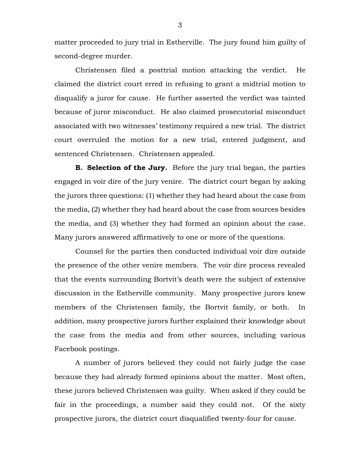matter proceeded to jury trial in Estherville. The jury found him guilty of second-degree murder.

Christensen filed a posttrial motion attacking the verdict. He claimed the district court erred in refusing to grant a midtrial motion to disqualify a juror for cause. He further asserted the verdict was tainted because of juror misconduct. He also claimed prosecutorial misconduct associated with two witnesses' testimony required a new trial. The district court overruled the motion for a new trial, entered judgment, and sentenced Christensen. Christensen appealed.

**B. Selection of the Jury.** Before the jury trial began, the parties engaged in voir dire of the jury venire. The district court began by asking the jurors three questions: (1) whether they had heard about the case from the media, (2) whether they had heard about the case from sources besides the media, and (3) whether they had formed an opinion about the case. Many jurors answered affirmatively to one or more of the questions.

Counsel for the parties then conducted individual voir dire outside the presence of the other venire members. The voir dire process revealed that the events surrounding Bortvit's death were the subject of extensive discussion in the Estherville community. Many prospective jurors knew members of the Christensen family, the Bortvit family, or both. In addition, many prospective jurors further explained their knowledge about the case from the media and from other sources, including various Facebook postings.

A number of jurors believed they could not fairly judge the case because they had already formed opinions about the matter. Most often, these jurors believed Christensen was guilty. When asked if they could be fair in the proceedings, a number said they could not. Of the sixty prospective jurors, the district court disqualified twenty-four for cause.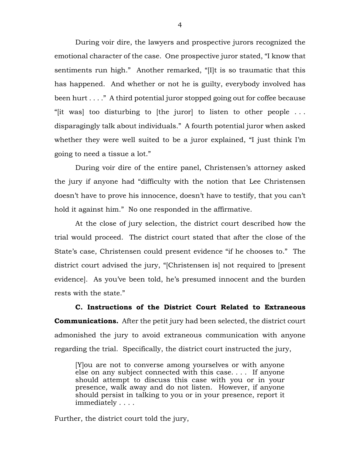During voir dire, the lawyers and prospective jurors recognized the emotional character of the case. One prospective juror stated, "I know that sentiments run high." Another remarked, "[I]t is so traumatic that this has happened. And whether or not he is guilty, everybody involved has been hurt . . . ." A third potential juror stopped going out for coffee because "[it was] too disturbing to [the juror] to listen to other people . . . disparagingly talk about individuals." A fourth potential juror when asked whether they were well suited to be a juror explained, "I just think I'm going to need a tissue a lot."

During voir dire of the entire panel, Christensen's attorney asked the jury if anyone had "difficulty with the notion that Lee Christensen doesn't have to prove his innocence, doesn't have to testify, that you can't hold it against him." No one responded in the affirmative.

At the close of jury selection, the district court described how the trial would proceed. The district court stated that after the close of the State's case, Christensen could present evidence "if he chooses to." The district court advised the jury, "[Christensen is] not required to [present evidence]. As you've been told, he's presumed innocent and the burden rests with the state."

**C. Instructions of the District Court Related to Extraneous Communications.** After the petit jury had been selected, the district court admonished the jury to avoid extraneous communication with anyone regarding the trial. Specifically, the district court instructed the jury,

[Y]ou are not to converse among yourselves or with anyone else on any subject connected with this case. . . . If anyone should attempt to discuss this case with you or in your presence, walk away and do not listen. However, if anyone should persist in talking to you or in your presence, report it immediately . . . .

Further, the district court told the jury,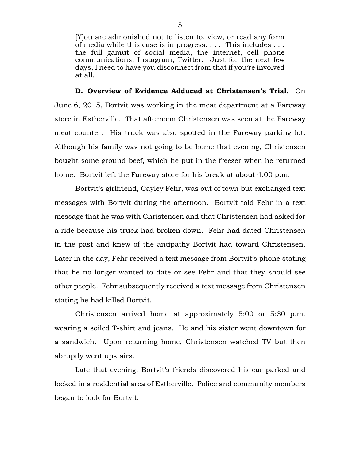[Y]ou are admonished not to listen to, view, or read any form of media while this case is in progress. . . . This includes . . . the full gamut of social media, the internet, cell phone communications, Instagram, Twitter. Just for the next few days, I need to have you disconnect from that if you're involved at all.

**D. Overview of Evidence Adduced at Christensen's Trial.** On June 6, 2015, Bortvit was working in the meat department at a Fareway store in Estherville. That afternoon Christensen was seen at the Fareway meat counter. His truck was also spotted in the Fareway parking lot. Although his family was not going to be home that evening, Christensen bought some ground beef, which he put in the freezer when he returned home. Bortvit left the Fareway store for his break at about 4:00 p.m.

Bortvit's girlfriend, Cayley Fehr, was out of town but exchanged text messages with Bortvit during the afternoon. Bortvit told Fehr in a text message that he was with Christensen and that Christensen had asked for a ride because his truck had broken down. Fehr had dated Christensen in the past and knew of the antipathy Bortvit had toward Christensen. Later in the day, Fehr received a text message from Bortvit's phone stating that he no longer wanted to date or see Fehr and that they should see other people. Fehr subsequently received a text message from Christensen stating he had killed Bortvit.

Christensen arrived home at approximately 5:00 or 5:30 p.m. wearing a soiled T-shirt and jeans. He and his sister went downtown for a sandwich. Upon returning home, Christensen watched TV but then abruptly went upstairs.

Late that evening, Bortvit's friends discovered his car parked and locked in a residential area of Estherville. Police and community members began to look for Bortvit.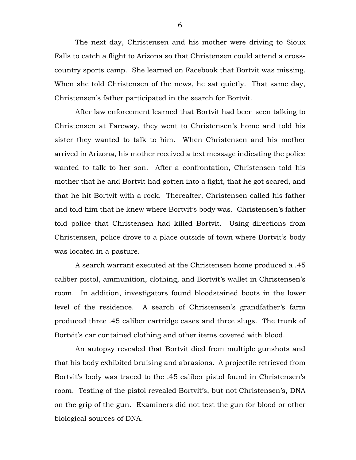The next day, Christensen and his mother were driving to Sioux Falls to catch a flight to Arizona so that Christensen could attend a crosscountry sports camp. She learned on Facebook that Bortvit was missing. When she told Christensen of the news, he sat quietly. That same day, Christensen's father participated in the search for Bortvit.

After law enforcement learned that Bortvit had been seen talking to Christensen at Fareway, they went to Christensen's home and told his sister they wanted to talk to him. When Christensen and his mother arrived in Arizona, his mother received a text message indicating the police wanted to talk to her son. After a confrontation, Christensen told his mother that he and Bortvit had gotten into a fight, that he got scared, and that he hit Bortvit with a rock. Thereafter, Christensen called his father and told him that he knew where Bortvit's body was. Christensen's father told police that Christensen had killed Bortvit. Using directions from Christensen, police drove to a place outside of town where Bortvit's body was located in a pasture.

A search warrant executed at the Christensen home produced a .45 caliber pistol, ammunition, clothing, and Bortvit's wallet in Christensen's room. In addition, investigators found bloodstained boots in the lower level of the residence. A search of Christensen's grandfather's farm produced three .45 caliber cartridge cases and three slugs. The trunk of Bortvit's car contained clothing and other items covered with blood.

An autopsy revealed that Bortvit died from multiple gunshots and that his body exhibited bruising and abrasions. A projectile retrieved from Bortvit's body was traced to the .45 caliber pistol found in Christensen's room. Testing of the pistol revealed Bortvit's, but not Christensen's, DNA on the grip of the gun. Examiners did not test the gun for blood or other biological sources of DNA.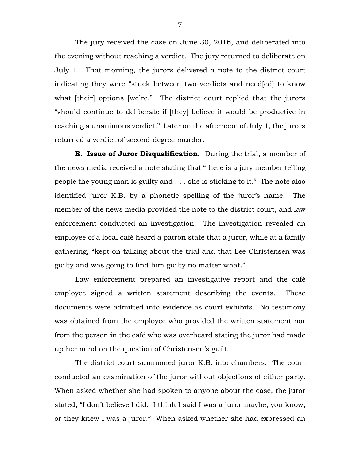The jury received the case on June 30, 2016, and deliberated into the evening without reaching a verdict. The jury returned to deliberate on July 1. That morning, the jurors delivered a note to the district court indicating they were "stuck between two verdicts and need[ed] to know what [their] options [we]re." The district court replied that the jurors "should continue to deliberate if [they] believe it would be productive in reaching a unanimous verdict." Later on the afternoon of July 1, the jurors returned a verdict of second-degree murder.

**E. Issue of Juror Disqualification.** During the trial, a member of the news media received a note stating that "there is a jury member telling people the young man is guilty and . . . she is sticking to it." The note also identified juror K.B. by a phonetic spelling of the juror's name. The member of the news media provided the note to the district court, and law enforcement conducted an investigation. The investigation revealed an employee of a local café heard a patron state that a juror, while at a family gathering, "kept on talking about the trial and that Lee Christensen was guilty and was going to find him guilty no matter what."

Law enforcement prepared an investigative report and the café employee signed a written statement describing the events. These documents were admitted into evidence as court exhibits. No testimony was obtained from the employee who provided the written statement nor from the person in the café who was overheard stating the juror had made up her mind on the question of Christensen's guilt.

The district court summoned juror K.B. into chambers. The court conducted an examination of the juror without objections of either party. When asked whether she had spoken to anyone about the case, the juror stated, "I don't believe I did. I think I said I was a juror maybe, you know, or they knew I was a juror." When asked whether she had expressed an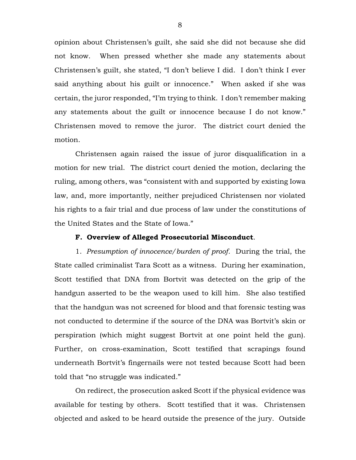opinion about Christensen's guilt, she said she did not because she did not know. When pressed whether she made any statements about Christensen's guilt, she stated, "I don't believe I did. I don't think I ever said anything about his guilt or innocence." When asked if she was certain, the juror responded, "I'm trying to think. I don't remember making any statements about the guilt or innocence because I do not know." Christensen moved to remove the juror. The district court denied the motion.

Christensen again raised the issue of juror disqualification in a motion for new trial. The district court denied the motion, declaring the ruling, among others, was "consistent with and supported by existing Iowa law, and, more importantly, neither prejudiced Christensen nor violated his rights to a fair trial and due process of law under the constitutions of the United States and the State of Iowa."

## **F. Overview of Alleged Prosecutorial Misconduct**.

1. *Presumption of innocence/burden of proof.* During the trial, the State called criminalist Tara Scott as a witness. During her examination, Scott testified that DNA from Bortvit was detected on the grip of the handgun asserted to be the weapon used to kill him. She also testified that the handgun was not screened for blood and that forensic testing was not conducted to determine if the source of the DNA was Bortvit's skin or perspiration (which might suggest Bortvit at one point held the gun). Further, on cross-examination, Scott testified that scrapings found underneath Bortvit's fingernails were not tested because Scott had been told that "no struggle was indicated."

On redirect, the prosecution asked Scott if the physical evidence was available for testing by others. Scott testified that it was. Christensen objected and asked to be heard outside the presence of the jury. Outside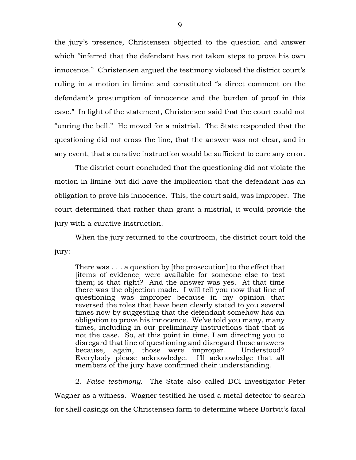the jury's presence, Christensen objected to the question and answer which "inferred that the defendant has not taken steps to prove his own innocence." Christensen argued the testimony violated the district court's ruling in a motion in limine and constituted "a direct comment on the defendant's presumption of innocence and the burden of proof in this case." In light of the statement, Christensen said that the court could not "unring the bell." He moved for a mistrial. The State responded that the questioning did not cross the line, that the answer was not clear, and in any event, that a curative instruction would be sufficient to cure any error.

The district court concluded that the questioning did not violate the motion in limine but did have the implication that the defendant has an obligation to prove his innocence. This, the court said, was improper. The court determined that rather than grant a mistrial, it would provide the jury with a curative instruction.

When the jury returned to the courtroom, the district court told the jury:

There was . . . a question by [the prosecution] to the effect that [items of evidence] were available for someone else to test them; is that right? And the answer was yes. At that time there was the objection made. I will tell you now that line of questioning was improper because in my opinion that reversed the roles that have been clearly stated to you several times now by suggesting that the defendant somehow has an obligation to prove his innocence. We've told you many, many times, including in our preliminary instructions that that is not the case. So, at this point in time, I am directing you to disregard that line of questioning and disregard those answers because, again, those were improper. Understood? Everybody please acknowledge. I'll acknowledge that all members of the jury have confirmed their understanding.

2. *False testimony.* The State also called DCI investigator Peter Wagner as a witness. Wagner testified he used a metal detector to search for shell casings on the Christensen farm to determine where Bortvit's fatal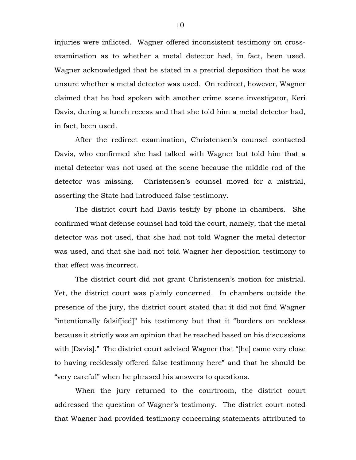injuries were inflicted. Wagner offered inconsistent testimony on crossexamination as to whether a metal detector had, in fact, been used. Wagner acknowledged that he stated in a pretrial deposition that he was unsure whether a metal detector was used. On redirect, however, Wagner claimed that he had spoken with another crime scene investigator, Keri Davis, during a lunch recess and that she told him a metal detector had, in fact, been used.

After the redirect examination, Christensen's counsel contacted Davis, who confirmed she had talked with Wagner but told him that a metal detector was not used at the scene because the middle rod of the detector was missing. Christensen's counsel moved for a mistrial, asserting the State had introduced false testimony.

The district court had Davis testify by phone in chambers. She confirmed what defense counsel had told the court, namely, that the metal detector was not used, that she had not told Wagner the metal detector was used, and that she had not told Wagner her deposition testimony to that effect was incorrect.

The district court did not grant Christensen's motion for mistrial. Yet, the district court was plainly concerned. In chambers outside the presence of the jury, the district court stated that it did not find Wagner "intentionally falsif[ied]" his testimony but that it "borders on reckless because it strictly was an opinion that he reached based on his discussions with [Davis]." The district court advised Wagner that "[he] came very close to having recklessly offered false testimony here" and that he should be "very careful" when he phrased his answers to questions.

When the jury returned to the courtroom, the district court addressed the question of Wagner's testimony. The district court noted that Wagner had provided testimony concerning statements attributed to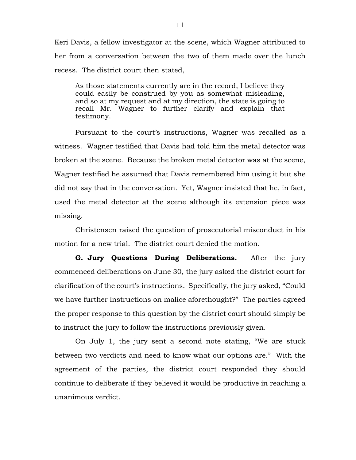Keri Davis, a fellow investigator at the scene, which Wagner attributed to her from a conversation between the two of them made over the lunch recess. The district court then stated,

As those statements currently are in the record, I believe they could easily be construed by you as somewhat misleading, and so at my request and at my direction, the state is going to recall Mr. Wagner to further clarify and explain that testimony.

Pursuant to the court's instructions, Wagner was recalled as a witness. Wagner testified that Davis had told him the metal detector was broken at the scene. Because the broken metal detector was at the scene, Wagner testified he assumed that Davis remembered him using it but she did not say that in the conversation. Yet, Wagner insisted that he, in fact, used the metal detector at the scene although its extension piece was missing.

Christensen raised the question of prosecutorial misconduct in his motion for a new trial. The district court denied the motion.

**G. Jury Questions During Deliberations.** After the jury commenced deliberations on June 30, the jury asked the district court for clarification of the court's instructions. Specifically, the jury asked, "Could we have further instructions on malice aforethought?" The parties agreed the proper response to this question by the district court should simply be to instruct the jury to follow the instructions previously given.

On July 1, the jury sent a second note stating, "We are stuck between two verdicts and need to know what our options are." With the agreement of the parties, the district court responded they should continue to deliberate if they believed it would be productive in reaching a unanimous verdict.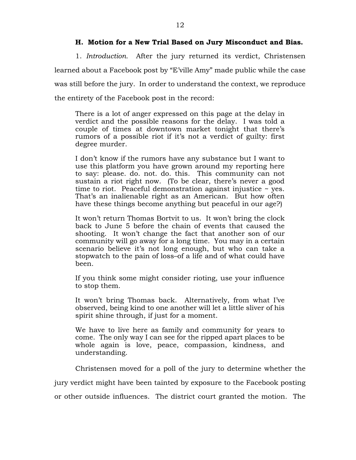## **H. Motion for a New Trial Based on Jury Misconduct and Bias.**

1. *Introduction.* After the jury returned its verdict, Christensen learned about a Facebook post by "E'ville Amy" made public while the case was still before the jury. In order to understand the context, we reproduce the entirety of the Facebook post in the record:

There is a lot of anger expressed on this page at the delay in verdict and the possible reasons for the delay. I was told a couple of times at downtown market tonight that there's rumors of a possible riot if it's not a verdict of guilty: first degree murder.

I don't know if the rumors have any substance but I want to use this platform you have grown around my reporting here to say: please. do. not. do. this. This community can not sustain a riot right now. (To be clear, there's never a good time to riot. Peaceful demonstration against injustice  $\sim$  yes. That's an inalienable right as an American. But how often have these things become anything but peaceful in our age?)

It won't return Thomas Bortvit to us. It won't bring the clock back to June 5 before the chain of events that caused the shooting. It won't change the fact that another son of our community will go away for a long time. You may in a certain scenario believe it's not long enough, but who can take a stopwatch to the pain of loss–of a life and of what could have been.

If you think some might consider rioting, use your influence to stop them.

It won't bring Thomas back. Alternatively, from what I've observed, being kind to one another will let a little sliver of his spirit shine through, if just for a moment.

We have to live here as family and community for years to come. The only way I can see for the ripped apart places to be whole again is love, peace, compassion, kindness, and understanding.

Christensen moved for a poll of the jury to determine whether the jury verdict might have been tainted by exposure to the Facebook posting or other outside influences. The district court granted the motion. The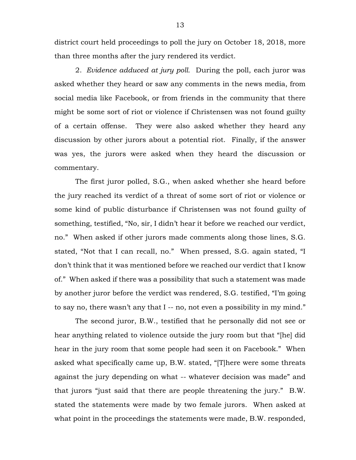district court held proceedings to poll the jury on October 18, 2018, more than three months after the jury rendered its verdict.

2. *Evidence adduced at jury poll.* During the poll, each juror was asked whether they heard or saw any comments in the news media, from social media like Facebook, or from friends in the community that there might be some sort of riot or violence if Christensen was not found guilty of a certain offense. They were also asked whether they heard any discussion by other jurors about a potential riot. Finally, if the answer was yes, the jurors were asked when they heard the discussion or commentary.

The first juror polled, S.G., when asked whether she heard before the jury reached its verdict of a threat of some sort of riot or violence or some kind of public disturbance if Christensen was not found guilty of something, testified, "No, sir, I didn't hear it before we reached our verdict, no." When asked if other jurors made comments along those lines, S.G. stated, "Not that I can recall, no." When pressed, S.G. again stated, "I don't think that it was mentioned before we reached our verdict that I know of." When asked if there was a possibility that such a statement was made by another juror before the verdict was rendered, S.G. testified, "I'm going to say no, there wasn't any that I -- no, not even a possibility in my mind."

The second juror, B.W., testified that he personally did not see or hear anything related to violence outside the jury room but that "[he] did hear in the jury room that some people had seen it on Facebook." When asked what specifically came up, B.W. stated, "[T]here were some threats against the jury depending on what -- whatever decision was made" and that jurors "just said that there are people threatening the jury." B.W. stated the statements were made by two female jurors. When asked at what point in the proceedings the statements were made, B.W. responded,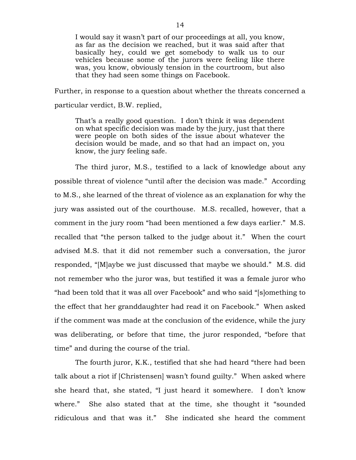I would say it wasn't part of our proceedings at all, you know, as far as the decision we reached, but it was said after that basically hey, could we get somebody to walk us to our vehicles because some of the jurors were feeling like there was, you know, obviously tension in the courtroom, but also that they had seen some things on Facebook.

Further, in response to a question about whether the threats concerned a particular verdict, B.W. replied,

That's a really good question. I don't think it was dependent on what specific decision was made by the jury, just that there were people on both sides of the issue about whatever the decision would be made, and so that had an impact on, you know, the jury feeling safe.

The third juror, M.S., testified to a lack of knowledge about any possible threat of violence "until after the decision was made." According to M.S., she learned of the threat of violence as an explanation for why the jury was assisted out of the courthouse. M.S. recalled, however, that a comment in the jury room "had been mentioned a few days earlier." M.S. recalled that "the person talked to the judge about it." When the court advised M.S. that it did not remember such a conversation, the juror responded, "[M]aybe we just discussed that maybe we should." M.S. did not remember who the juror was, but testified it was a female juror who "had been told that it was all over Facebook" and who said "[s]omething to the effect that her granddaughter had read it on Facebook." When asked if the comment was made at the conclusion of the evidence, while the jury was deliberating, or before that time, the juror responded, "before that time" and during the course of the trial.

The fourth juror, K.K., testified that she had heard "there had been talk about a riot if [Christensen] wasn't found guilty." When asked where she heard that, she stated, "I just heard it somewhere. I don't know where." She also stated that at the time, she thought it "sounded ridiculous and that was it." She indicated she heard the comment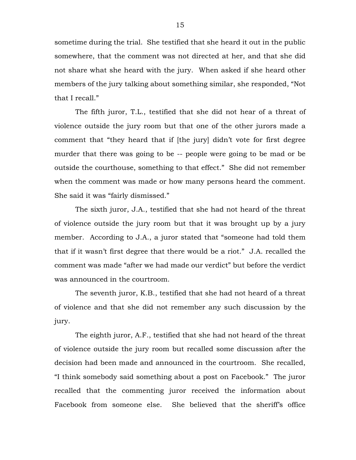sometime during the trial. She testified that she heard it out in the public somewhere, that the comment was not directed at her, and that she did not share what she heard with the jury. When asked if she heard other members of the jury talking about something similar, she responded, "Not that I recall."

The fifth juror, T.L., testified that she did not hear of a threat of violence outside the jury room but that one of the other jurors made a comment that "they heard that if [the jury] didn't vote for first degree murder that there was going to be -- people were going to be mad or be outside the courthouse, something to that effect." She did not remember when the comment was made or how many persons heard the comment. She said it was "fairly dismissed."

The sixth juror, J.A., testified that she had not heard of the threat of violence outside the jury room but that it was brought up by a jury member. According to J.A., a juror stated that "someone had told them that if it wasn't first degree that there would be a riot." J.A. recalled the comment was made "after we had made our verdict" but before the verdict was announced in the courtroom.

The seventh juror, K.B., testified that she had not heard of a threat of violence and that she did not remember any such discussion by the jury.

The eighth juror, A.F., testified that she had not heard of the threat of violence outside the jury room but recalled some discussion after the decision had been made and announced in the courtroom. She recalled, "I think somebody said something about a post on Facebook." The juror recalled that the commenting juror received the information about Facebook from someone else. She believed that the sheriff's office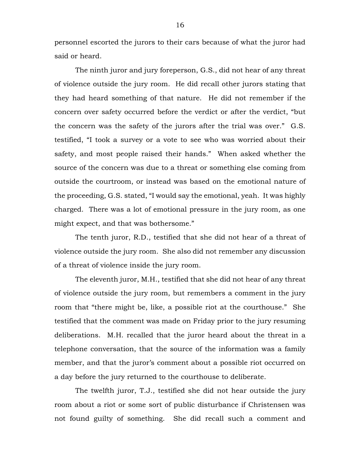personnel escorted the jurors to their cars because of what the juror had said or heard.

The ninth juror and jury foreperson, G.S., did not hear of any threat of violence outside the jury room. He did recall other jurors stating that they had heard something of that nature. He did not remember if the concern over safety occurred before the verdict or after the verdict, "but the concern was the safety of the jurors after the trial was over." G.S. testified, "I took a survey or a vote to see who was worried about their safety, and most people raised their hands." When asked whether the source of the concern was due to a threat or something else coming from outside the courtroom, or instead was based on the emotional nature of the proceeding, G.S. stated, "I would say the emotional, yeah. It was highly charged. There was a lot of emotional pressure in the jury room, as one might expect, and that was bothersome."

The tenth juror, R.D., testified that she did not hear of a threat of violence outside the jury room. She also did not remember any discussion of a threat of violence inside the jury room.

The eleventh juror, M.H., testified that she did not hear of any threat of violence outside the jury room, but remembers a comment in the jury room that "there might be, like, a possible riot at the courthouse." She testified that the comment was made on Friday prior to the jury resuming deliberations. M.H. recalled that the juror heard about the threat in a telephone conversation, that the source of the information was a family member, and that the juror's comment about a possible riot occurred on a day before the jury returned to the courthouse to deliberate.

The twelfth juror, T.J., testified she did not hear outside the jury room about a riot or some sort of public disturbance if Christensen was not found guilty of something. She did recall such a comment and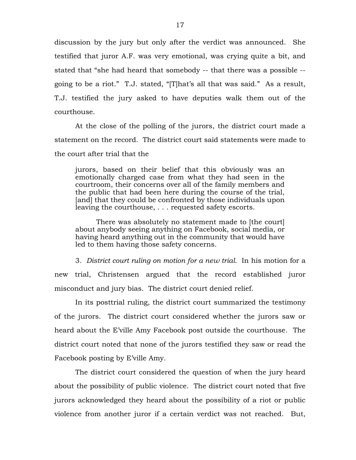discussion by the jury but only after the verdict was announced. She testified that juror A.F. was very emotional, was crying quite a bit, and stated that "she had heard that somebody -- that there was a possible - going to be a riot." T.J. stated, "[T]hat's all that was said." As a result, T.J. testified the jury asked to have deputies walk them out of the courthouse.

At the close of the polling of the jurors, the district court made a statement on the record. The district court said statements were made to the court after trial that the

jurors, based on their belief that this obviously was an emotionally charged case from what they had seen in the courtroom, their concerns over all of the family members and the public that had been here during the course of the trial, [and] that they could be confronted by those individuals upon leaving the courthouse, . . . requested safety escorts.

There was absolutely no statement made to [the court] about anybody seeing anything on Facebook, social media, or having heard anything out in the community that would have led to them having those safety concerns.

3. *District court ruling on motion for a new trial.* In his motion for a new trial, Christensen argued that the record established juror misconduct and jury bias. The district court denied relief.

In its posttrial ruling, the district court summarized the testimony of the jurors. The district court considered whether the jurors saw or heard about the E'ville Amy Facebook post outside the courthouse. The district court noted that none of the jurors testified they saw or read the Facebook posting by E'ville Amy.

The district court considered the question of when the jury heard about the possibility of public violence. The district court noted that five jurors acknowledged they heard about the possibility of a riot or public violence from another juror if a certain verdict was not reached. But,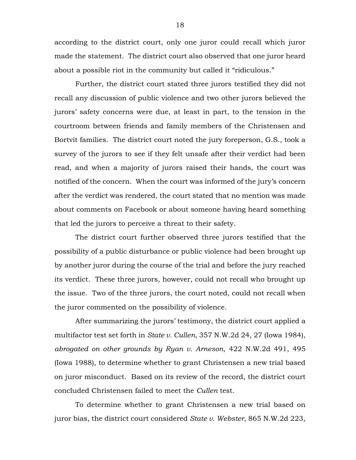according to the district court, only one juror could recall which juror made the statement. The district court also observed that one juror heard about a possible riot in the community but called it "ridiculous."

Further, the district court stated three jurors testified they did not recall any discussion of public violence and two other jurors believed the jurors' safety concerns were due, at least in part, to the tension in the courtroom between friends and family members of the Christensen and Bortvit families. The district court noted the jury foreperson, G.S., took a survey of the jurors to see if they felt unsafe after their verdict had been read, and when a majority of jurors raised their hands, the court was notified of the concern. When the court was informed of the jury's concern after the verdict was rendered, the court stated that no mention was made about comments on Facebook or about someone having heard something that led the jurors to perceive a threat to their safety.

The district court further observed three jurors testified that the possibility of a public disturbance or public violence had been brought up by another juror during the course of the trial and before the jury reached its verdict. These three jurors, however, could not recall who brought up the issue. Two of the three jurors, the court noted, could not recall when the juror commented on the possibility of violence.

After summarizing the jurors' testimony, the district court applied a multifactor test set forth in *State v. Cullen*, 357 N.W.2d 24, 27 (Iowa 1984), *abrogated on other grounds by Ryan v. Arneson*, 422 N.W.2d 491, 495 (Iowa 1988), to determine whether to grant Christensen a new trial based on juror misconduct. Based on its review of the record, the district court concluded Christensen failed to meet the *Cullen* test.

To determine whether to grant Christensen a new trial based on juror bias, the district court considered *State v. Webster*, 865 N.W.2d 223,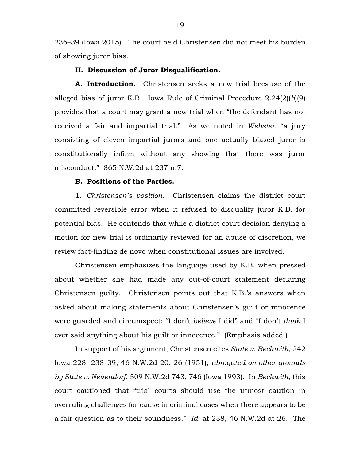236–39 (Iowa 2015). The court held Christensen did not meet his burden of showing juror bias.

## **II. Discussion of Juror Disqualification.**

**A. Introduction.** Christensen seeks a new trial because of the alleged bias of juror K.B. Iowa Rule of Criminal Procedure 2.24(2)(*b*)(9) provides that a court may grant a new trial when "the defendant has not received a fair and impartial trial." As we noted in *Webster*, "a jury consisting of eleven impartial jurors and one actually biased juror is constitutionally infirm without any showing that there was juror misconduct." 865 N.W.2d at 237 n.7.

#### **B. Positions of the Parties.**

1. *Christensen's position.* Christensen claims the district court committed reversible error when it refused to disqualify juror K.B. for potential bias. He contends that while a district court decision denying a motion for new trial is ordinarily reviewed for an abuse of discretion, we review fact-finding de novo when constitutional issues are involved.

Christensen emphasizes the language used by K.B. when pressed about whether she had made any out-of-court statement declaring Christensen guilty. Christensen points out that K.B.'s answers when asked about making statements about Christensen's guilt or innocence were guarded and circumspect: "I don't *believe* I did" and "I don't *think* I ever said anything about his guilt or innocence." (Emphasis added.)

In support of his argument, Christensen cites *State v. Beckwith*, 242 Iowa 228, 238–39, 46 N.W.2d 20, 26 (1951), *abrogated on other grounds by State v. Neuendorf*, 509 N.W.2d 743, 746 (Iowa 1993). In *Beckwith*, this court cautioned that "trial courts should use the utmost caution in overruling challenges for cause in criminal cases when there appears to be a fair question as to their soundness." *Id.* at 238, 46 N.W.2d at 26. The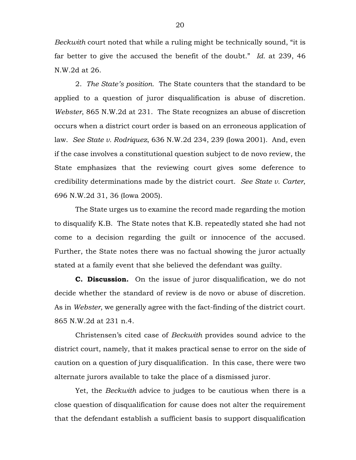*Beckwith* court noted that while a ruling might be technically sound, "it is far better to give the accused the benefit of the doubt." *Id.* at 239, 46 N.W.2d at 26.

2. *The State's position.* The State counters that the standard to be applied to a question of juror disqualification is abuse of discretion. *Webster*, 865 N.W.2d at 231. The State recognizes an abuse of discretion occurs when a district court order is based on an erroneous application of law. *See State v. Rodriquez*, 636 N.W.2d 234, 239 (Iowa 2001). And, even if the case involves a constitutional question subject to de novo review, the State emphasizes that the reviewing court gives some deference to credibility determinations made by the district court. *See State v. Carter*, 696 N.W.2d 31, 36 (Iowa 2005).

The State urges us to examine the record made regarding the motion to disqualify K.B. The State notes that K.B. repeatedly stated she had not come to a decision regarding the guilt or innocence of the accused. Further, the State notes there was no factual showing the juror actually stated at a family event that she believed the defendant was guilty.

**C. Discussion.** On the issue of juror disqualification, we do not decide whether the standard of review is de novo or abuse of discretion. As in *Webster*, we generally agree with the fact-finding of the district court. 865 N.W.2d at 231 n.4.

Christensen's cited case of *Beckwith* provides sound advice to the district court, namely, that it makes practical sense to error on the side of caution on a question of jury disqualification. In this case, there were two alternate jurors available to take the place of a dismissed juror.

Yet, the *Beckwith* advice to judges to be cautious when there is a close question of disqualification for cause does not alter the requirement that the defendant establish a sufficient basis to support disqualification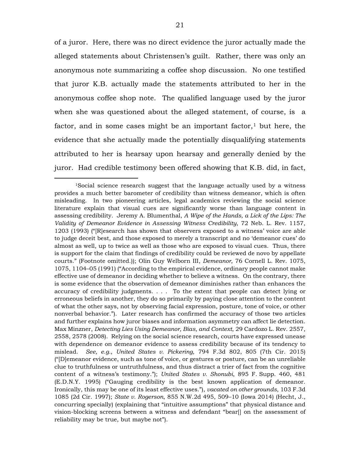of a juror. Here, there was no direct evidence the juror actually made the alleged statements about Christensen's guilt. Rather, there was only an anonymous note summarizing a coffee shop discussion. No one testified that juror K.B. actually made the statements attributed to her in the anonymous coffee shop note. The qualified language used by the juror when she was questioned about the alleged statement, of course, is a factor, and in some cases might be an important factor, $<sup>1</sup>$  $<sup>1</sup>$  $<sup>1</sup>$  but here, the</sup> evidence that she actually made the potentially disqualifying statements attributed to her is hearsay upon hearsay and generally denied by the juror. Had credible testimony been offered showing that K.B. did, in fact,

<span id="page-20-0"></span> <sup>1</sup>Social science research suggest that the language actually used by a witness provides a much better barometer of credibility than witness demeanor, which is often misleading. In two pioneering articles, legal academics reviewing the social science literature explain that visual cues are significantly worse than language content in assessing credibility. Jeremy A. Blumenthal, *A Wipe of the Hands, a Lick of the Lips: The Validity of Demeanor Evidence in Assessing Witness Credibility*, 72 Neb. L. Rev. 1157, 1203 (1993) ("[R]esearch has shown that observers exposed to a witness' voice are able to judge deceit best, and those exposed to merely a transcript and no 'demeanor cues' do almost as well, up to twice as well as those who are exposed to visual cues. Thus, there is support for the claim that findings of credibility could be reviewed de novo by appellate courts." (Footnote omitted.)); Olin Guy Welborn III, *Demeanor*, 76 Cornell L. Rev. 1075, 1075, 1104–05 (1991) ("According to the empirical evidence, ordinary people cannot make effective use of demeanor in deciding whether to believe a witness. On the contrary, there is some evidence that the observation of demeanor diminishes rather than enhances the accuracy of credibility judgments. . . . To the extent that people can detect lying or erroneous beliefs in another, they do so primarily by paying close attention to the content of what the other says, not by observing facial expression, posture, tone of voice, or other nonverbal behavior."). Later research has confirmed the accuracy of those two articles and further explains how juror biases and information asymmetry can affect lie detection. Max Minzner, *Detecting Lies Using Demeanor, Bias, and Context*, 29 Cardozo L. Rev. 2557, 2558, 2578 (2008). Relying on the social science research, courts have expressed unease with dependence on demeanor evidence to assess credibility because of its tendency to mislead. *See, e.g.*, *United States v. Pickering*, 794 F.3d 802, 805 (7th Cir. 2015) ("[D]emeanor evidence, such as tone of voice, or gestures or posture, can be an unreliable clue to truthfulness or untruthfulness, and thus distract a trier of fact from the cognitive content of a witness's testimony."); *United States v. Shonubi*, 895 F. Supp. 460, 481 (E.D.N.Y. 1995) ("Gauging credibility is the best known application of demeanor. Ironically, this may be one of its least effective uses."), *vacated on other grounds*, 103 F.3d 1085 (2d Cir. 1997); *State v. Rogerson*, 855 N.W.2d 495, 509–10 (Iowa 2014) (Hecht, J., concurring specially) (explaining that "intuitive assumptions" that physical distance and vision-blocking screens between a witness and defendant "bear[] on the assessment of reliability may be true, but maybe not").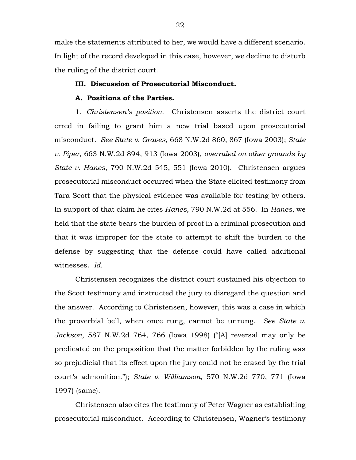make the statements attributed to her, we would have a different scenario. In light of the record developed in this case, however, we decline to disturb the ruling of the district court.

## **III. Discussion of Prosecutorial Misconduct.**

## **A. Positions of the Parties.**

1. *Christensen's position.* Christensen asserts the district court erred in failing to grant him a new trial based upon prosecutorial misconduct. *See State v. Graves*, 668 N.W.2d 860, 867 (Iowa 2003); *State v. Piper*, 663 N.W.2d 894, 913 (Iowa 2003), *overruled on other grounds by State v. Hanes*, 790 N.W.2d 545, 551 (Iowa 2010). Christensen argues prosecutorial misconduct occurred when the State elicited testimony from Tara Scott that the physical evidence was available for testing by others. In support of that claim he cites *Hanes*, 790 N.W.2d at 556. In *Hanes*, we held that the state bears the burden of proof in a criminal prosecution and that it was improper for the state to attempt to shift the burden to the defense by suggesting that the defense could have called additional witnesses. *Id.*

Christensen recognizes the district court sustained his objection to the Scott testimony and instructed the jury to disregard the question and the answer. According to Christensen, however, this was a case in which the proverbial bell, when once rung, cannot be unrung. *See State v. Jackson*, 587 N.W.2d 764, 766 (Iowa 1998) ("[A] reversal may only be predicated on the proposition that the matter forbidden by the ruling was so prejudicial that its effect upon the jury could not be erased by the trial court's admonition."); *State v. Williamson*, 570 N.W.2d 770, 771 (Iowa 1997) (same).

Christensen also cites the testimony of Peter Wagner as establishing prosecutorial misconduct. According to Christensen, Wagner's testimony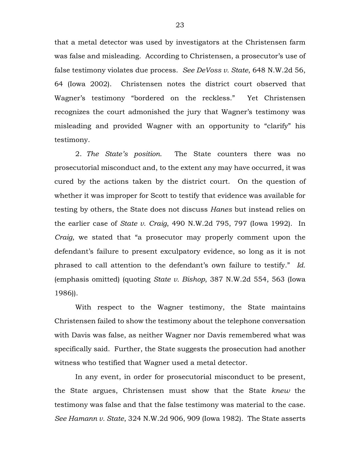that a metal detector was used by investigators at the Christensen farm was false and misleading. According to Christensen, a prosecutor's use of false testimony violates due process. *See DeVoss v. State*, 648 N.W.2d 56, 64 (Iowa 2002). Christensen notes the district court observed that Wagner's testimony "bordered on the reckless." Yet Christensen recognizes the court admonished the jury that Wagner's testimony was misleading and provided Wagner with an opportunity to "clarify" his testimony.

2. *The State's position.* The State counters there was no prosecutorial misconduct and, to the extent any may have occurred, it was cured by the actions taken by the district court. On the question of whether it was improper for Scott to testify that evidence was available for testing by others, the State does not discuss *Hanes* but instead relies on the earlier case of *State v. Craig*, 490 N.W.2d 795, 797 (Iowa 1992). In *Craig*, we stated that "a prosecutor may properly comment upon the defendant's failure to present exculpatory evidence, so long as it is not phrased to call attention to the defendant's own failure to testify." *Id.* (emphasis omitted) (quoting *State v. Bishop*, 387 N.W.2d 554, 563 (Iowa 1986)).

With respect to the Wagner testimony, the State maintains Christensen failed to show the testimony about the telephone conversation with Davis was false, as neither Wagner nor Davis remembered what was specifically said. Further, the State suggests the prosecution had another witness who testified that Wagner used a metal detector.

In any event, in order for prosecutorial misconduct to be present, the State argues, Christensen must show that the State *knew* the testimony was false and that the false testimony was material to the case. *See Hamann v. State*, 324 N.W.2d 906, 909 (Iowa 1982). The State asserts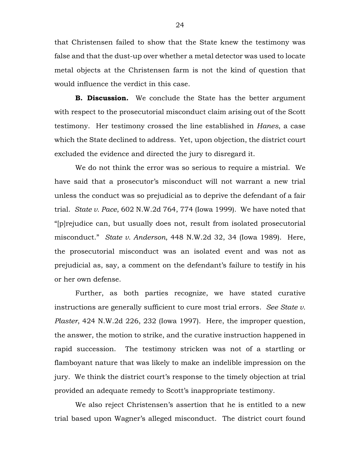that Christensen failed to show that the State knew the testimony was false and that the dust-up over whether a metal detector was used to locate metal objects at the Christensen farm is not the kind of question that would influence the verdict in this case.

**B. Discussion.** We conclude the State has the better argument with respect to the prosecutorial misconduct claim arising out of the Scott testimony. Her testimony crossed the line established in *Hanes*, a case which the State declined to address. Yet, upon objection, the district court excluded the evidence and directed the jury to disregard it.

We do not think the error was so serious to require a mistrial. We have said that a prosecutor's misconduct will not warrant a new trial unless the conduct was so prejudicial as to deprive the defendant of a fair trial. *State v. Pace*, 602 N.W.2d 764, 774 (Iowa 1999). We have noted that "[p]rejudice can, but usually does not, result from isolated prosecutorial misconduct." *State v. Anderson*, 448 N.W.2d 32, 34 (Iowa 1989). Here, the prosecutorial misconduct was an isolated event and was not as prejudicial as, say, a comment on the defendant's failure to testify in his or her own defense.

Further, as both parties recognize, we have stated curative instructions are generally sufficient to cure most trial errors. *See State v. Plaster*, 424 N.W.2d 226, 232 (Iowa 1997). Here, the improper question, the answer, the motion to strike, and the curative instruction happened in rapid succession. The testimony stricken was not of a startling or flamboyant nature that was likely to make an indelible impression on the jury. We think the district court's response to the timely objection at trial provided an adequate remedy to Scott's inappropriate testimony.

We also reject Christensen's assertion that he is entitled to a new trial based upon Wagner's alleged misconduct. The district court found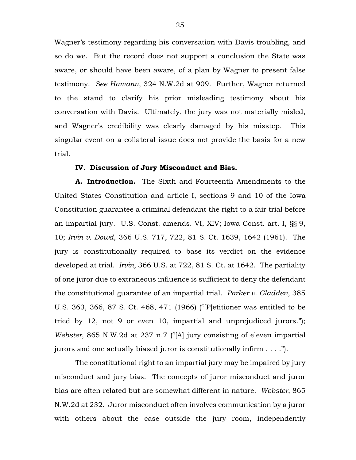Wagner's testimony regarding his conversation with Davis troubling, and so do we. But the record does not support a conclusion the State was aware, or should have been aware, of a plan by Wagner to present false testimony. *See Hamann*, 324 N.W.2d at 909. Further, Wagner returned to the stand to clarify his prior misleading testimony about his conversation with Davis. Ultimately, the jury was not materially misled, and Wagner's credibility was clearly damaged by his misstep. This singular event on a collateral issue does not provide the basis for a new trial.

## **IV. Discussion of Jury Misconduct and Bias.**

**A. Introduction.** The Sixth and Fourteenth Amendments to the United States Constitution and article I, sections 9 and 10 of the Iowa Constitution guarantee a criminal defendant the right to a fair trial before an impartial jury. U.S. Const. amends. VI, XIV; Iowa Const. art. I, §§ 9, 10; *Irvin v. Dowd*, 366 U.S. 717, 722, 81 S. Ct. 1639, 1642 (1961). The jury is constitutionally required to base its verdict on the evidence developed at trial. *Irvin*, 366 U.S. at 722, 81 S. Ct. at 1642. The partiality of one juror due to extraneous influence is sufficient to deny the defendant the constitutional guarantee of an impartial trial. *Parker v. Gladden*, 385 U.S. 363, 366, 87 S. Ct. 468, 471 (1966) ("[P]etitioner was entitled to be tried by 12, not 9 or even 10, impartial and unprejudiced jurors."); *Webster*, 865 N.W.2d at 237 n.7 ("[A] jury consisting of eleven impartial jurors and one actually biased juror is constitutionally infirm . . . .").

The constitutional right to an impartial jury may be impaired by jury misconduct and jury bias. The concepts of juror misconduct and juror bias are often related but are somewhat different in nature. *Webster*, 865 N.W.2d at 232. Juror misconduct often involves communication by a juror with others about the case outside the jury room, independently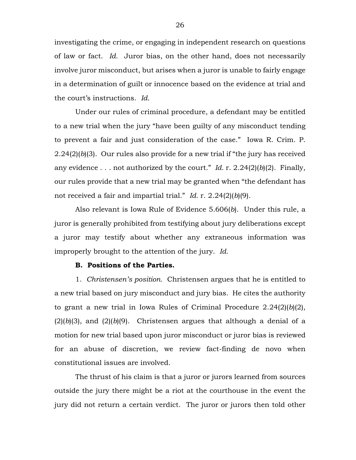investigating the crime, or engaging in independent research on questions of law or fact. *Id.* Juror bias, on the other hand, does not necessarily involve juror misconduct, but arises when a juror is unable to fairly engage in a determination of guilt or innocence based on the evidence at trial and the court's instructions. *Id.*

Under our rules of criminal procedure, a defendant may be entitled to a new trial when the jury "have been guilty of any misconduct tending to prevent a fair and just consideration of the case." Iowa R. Crim. P. 2.24(2)(*b*)(3). Our rules also provide for a new trial if "the jury has received any evidence . . . not authorized by the court." *Id.* r. 2.24(2)(*b*)(2). Finally, our rules provide that a new trial may be granted when "the defendant has not received a fair and impartial trial." *Id.* r. 2.24(2)(*b*)(9).

Also relevant is Iowa Rule of Evidence 5.606(*b*). Under this rule, a juror is generally prohibited from testifying about jury deliberations except a juror may testify about whether any extraneous information was improperly brought to the attention of the jury. *Id.*

## **B. Positions of the Parties.**

1. *Christensen's position.* Christensen argues that he is entitled to a new trial based on jury misconduct and jury bias. He cites the authority to grant a new trial in Iowa Rules of Criminal Procedure 2.24(2)(*b*)(2),  $(2)(b)(3)$ , and  $(2)(b)(9)$ . Christensen argues that although a denial of a motion for new trial based upon juror misconduct or juror bias is reviewed for an abuse of discretion, we review fact-finding de novo when constitutional issues are involved.

The thrust of his claim is that a juror or jurors learned from sources outside the jury there might be a riot at the courthouse in the event the jury did not return a certain verdict. The juror or jurors then told other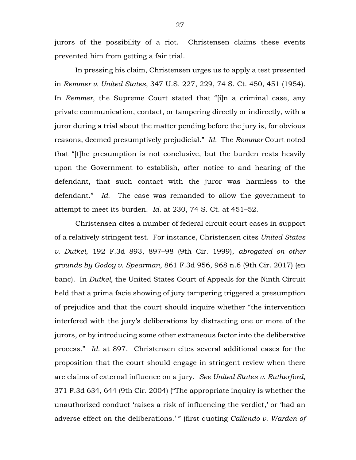jurors of the possibility of a riot. Christensen claims these events prevented him from getting a fair trial.

In pressing his claim, Christensen urges us to apply a test presented in *Remmer v. United States*, 347 U.S. 227, 229, 74 S. Ct. 450, 451 (1954). In *Remmer*, the Supreme Court stated that "[i]n a criminal case, any private communication, contact, or tampering directly or indirectly, with a juror during a trial about the matter pending before the jury is, for obvious reasons, deemed presumptively prejudicial." *Id.* The *Remmer* Court noted that "[t]he presumption is not conclusive, but the burden rests heavily upon the Government to establish, after notice to and hearing of the defendant, that such contact with the juror was harmless to the defendant." *Id.* The case was remanded to allow the government to attempt to meet its burden. *Id.* at 230, 74 S. Ct. at 451–52.

Christensen cites a number of federal circuit court cases in support of a relatively stringent test. For instance, Christensen cites *United States v. Dutkel*, 192 F.3d 893, 897–98 (9th Cir. 1999), *abrogated on other grounds by Godoy v. Spearman*, 861 F.3d 956, 968 n.6 (9th Cir. 2017) (en banc). In *Dutkel*, the United States Court of Appeals for the Ninth Circuit held that a prima facie showing of jury tampering triggered a presumption of prejudice and that the court should inquire whether "the intervention interfered with the jury's deliberations by distracting one or more of the jurors, or by introducing some other extraneous factor into the deliberative process." *Id.* at 897. Christensen cites several additional cases for the proposition that the court should engage in stringent review when there are claims of external influence on a jury. *See United States v. Rutherford*, 371 F.3d 634, 644 (9th Cir. 2004) ("The appropriate inquiry is whether the unauthorized conduct 'raises a risk of influencing the verdict,' or 'had an adverse effect on the deliberations.' " (first quoting *Caliendo v. Warden of*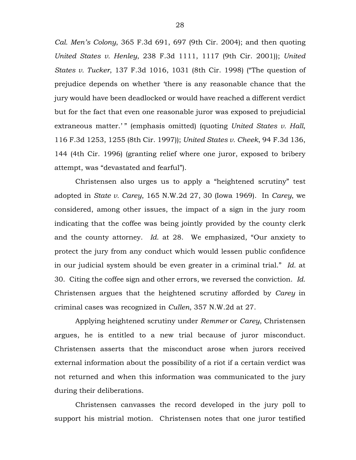*Cal. Men's Colony*, 365 F.3d 691, 697 (9th Cir. 2004); and then quoting *United States v. Henley*, 238 F.3d 1111, 1117 (9th Cir. 2001)); *United States v. Tucker*, 137 F.3d 1016, 1031 (8th Cir. 1998) ("The question of prejudice depends on whether 'there is any reasonable chance that the jury would have been deadlocked or would have reached a different verdict but for the fact that even one reasonable juror was exposed to prejudicial extraneous matter.'" (emphasis omitted) (quoting *United States v. Hall*, 116 F.3d 1253, 1255 (8th Cir. 1997)); *United States v. Cheek*, 94 F.3d 136, 144 (4th Cir. 1996) (granting relief where one juror, exposed to bribery attempt, was "devastated and fearful").

Christensen also urges us to apply a "heightened scrutiny" test adopted in *State v. Carey*, 165 N.W.2d 27, 30 (Iowa 1969). In *Carey*, we considered, among other issues, the impact of a sign in the jury room indicating that the coffee was being jointly provided by the county clerk and the county attorney. *Id.* at 28. We emphasized, "Our anxiety to protect the jury from any conduct which would lessen public confidence in our judicial system should be even greater in a criminal trial." *Id.* at 30. Citing the coffee sign and other errors, we reversed the conviction. *Id.* Christensen argues that the heightened scrutiny afforded by *Carey* in criminal cases was recognized in *Cullen*, 357 N.W.2d at 27.

Applying heightened scrutiny under *Remmer* or *Carey*, Christensen argues, he is entitled to a new trial because of juror misconduct. Christensen asserts that the misconduct arose when jurors received external information about the possibility of a riot if a certain verdict was not returned and when this information was communicated to the jury during their deliberations.

Christensen canvasses the record developed in the jury poll to support his mistrial motion. Christensen notes that one juror testified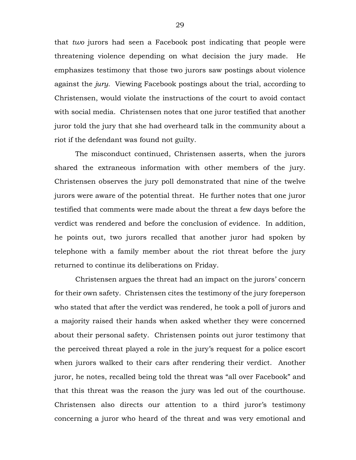that *two* jurors had seen a Facebook post indicating that people were threatening violence depending on what decision the jury made. He emphasizes testimony that those two jurors saw postings about violence against the *jury*. Viewing Facebook postings about the trial, according to Christensen, would violate the instructions of the court to avoid contact with social media. Christensen notes that one juror testified that another juror told the jury that she had overheard talk in the community about a riot if the defendant was found not guilty.

The misconduct continued, Christensen asserts, when the jurors shared the extraneous information with other members of the jury. Christensen observes the jury poll demonstrated that nine of the twelve jurors were aware of the potential threat. He further notes that one juror testified that comments were made about the threat a few days before the verdict was rendered and before the conclusion of evidence. In addition, he points out, two jurors recalled that another juror had spoken by telephone with a family member about the riot threat before the jury returned to continue its deliberations on Friday.

Christensen argues the threat had an impact on the jurors' concern for their own safety. Christensen cites the testimony of the jury foreperson who stated that after the verdict was rendered, he took a poll of jurors and a majority raised their hands when asked whether they were concerned about their personal safety. Christensen points out juror testimony that the perceived threat played a role in the jury's request for a police escort when jurors walked to their cars after rendering their verdict. Another juror, he notes, recalled being told the threat was "all over Facebook" and that this threat was the reason the jury was led out of the courthouse. Christensen also directs our attention to a third juror's testimony concerning a juror who heard of the threat and was very emotional and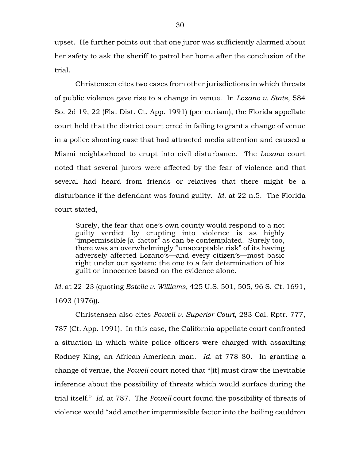upset. He further points out that one juror was sufficiently alarmed about her safety to ask the sheriff to patrol her home after the conclusion of the trial.

Christensen cites two cases from other jurisdictions in which threats of public violence gave rise to a change in venue. In *Lozano v. State*, 584 So. 2d 19, 22 (Fla. Dist. Ct. App. 1991) (per curiam), the Florida appellate court held that the district court erred in failing to grant a change of venue in a police shooting case that had attracted media attention and caused a Miami neighborhood to erupt into civil disturbance. The *Lozano* court noted that several jurors were affected by the fear of violence and that several had heard from friends or relatives that there might be a disturbance if the defendant was found guilty. *Id.* at 22 n.5. The Florida court stated,

Surely, the fear that one's own county would respond to a not guilty verdict by erupting into violence is as highly "impermissible [a] factor" as can be contemplated. Surely too, there was an overwhelmingly "unacceptable risk" of its having adversely affected Lozano's—and every citizen's—most basic right under our system: the one to a fair determination of his guilt or innocence based on the evidence alone.

*Id.* at 22–23 (quoting *Estelle v. Williams*, 425 U.S. 501, 505, 96 S. Ct. 1691, 1693 (1976)).

Christensen also cites *Powell v. Superior Court*, 283 Cal. Rptr. 777, 787 (Ct. App. 1991). In this case, the California appellate court confronted a situation in which white police officers were charged with assaulting Rodney King, an African-American man. *Id.* at 778–80. In granting a change of venue, the *Powell* court noted that "[it] must draw the inevitable inference about the possibility of threats which would surface during the trial itself." *Id.* at 787. The *Powell* court found the possibility of threats of violence would "add another impermissible factor into the boiling cauldron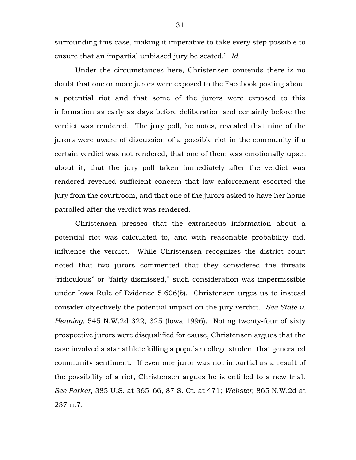surrounding this case, making it imperative to take every step possible to ensure that an impartial unbiased jury be seated." *Id.*

Under the circumstances here, Christensen contends there is no doubt that one or more jurors were exposed to the Facebook posting about a potential riot and that some of the jurors were exposed to this information as early as days before deliberation and certainly before the verdict was rendered. The jury poll, he notes, revealed that nine of the jurors were aware of discussion of a possible riot in the community if a certain verdict was not rendered, that one of them was emotionally upset about it, that the jury poll taken immediately after the verdict was rendered revealed sufficient concern that law enforcement escorted the jury from the courtroom, and that one of the jurors asked to have her home patrolled after the verdict was rendered.

Christensen presses that the extraneous information about a potential riot was calculated to, and with reasonable probability did, influence the verdict. While Christensen recognizes the district court noted that two jurors commented that they considered the threats "ridiculous" or "fairly dismissed," such consideration was impermissible under Iowa Rule of Evidence 5.606(*b*). Christensen urges us to instead consider objectively the potential impact on the jury verdict. *See State v. Henning*, 545 N.W.2d 322, 325 (Iowa 1996). Noting twenty-four of sixty prospective jurors were disqualified for cause, Christensen argues that the case involved a star athlete killing a popular college student that generated community sentiment. If even one juror was not impartial as a result of the possibility of a riot, Christensen argues he is entitled to a new trial. *See Parker*, 385 U.S. at 365–66, 87 S. Ct. at 471; *Webster*, 865 N.W.2d at 237 n.7.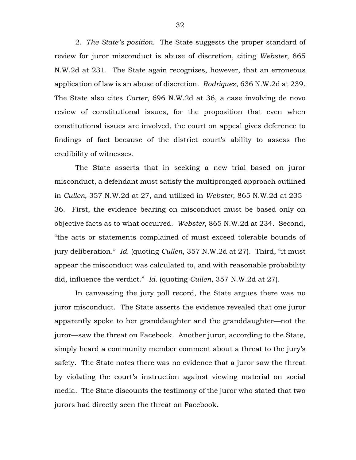2. *The State's position.* The State suggests the proper standard of review for juror misconduct is abuse of discretion, citing *Webster*, 865 N.W.2d at 231. The State again recognizes, however, that an erroneous application of law is an abuse of discretion. *Rodriquez*, 636 N.W.2d at 239. The State also cites *Carter*, 696 N.W.2d at 36, a case involving de novo review of constitutional issues, for the proposition that even when constitutional issues are involved, the court on appeal gives deference to findings of fact because of the district court's ability to assess the credibility of witnesses.

The State asserts that in seeking a new trial based on juror misconduct, a defendant must satisfy the multipronged approach outlined in *Cullen*, 357 N.W.2d at 27, and utilized in *Webster*, 865 N.W.2d at 235– 36. First, the evidence bearing on misconduct must be based only on objective facts as to what occurred. *Webster*, 865 N.W.2d at 234. Second, "the acts or statements complained of must exceed tolerable bounds of jury deliberation." *Id.* (quoting *Cullen*, 357 N.W.2d at 27). Third, "it must appear the misconduct was calculated to, and with reasonable probability did, influence the verdict." *Id.* (quoting *Cullen*, 357 N.W.2d at 27).

In canvassing the jury poll record, the State argues there was no juror misconduct. The State asserts the evidence revealed that one juror apparently spoke to her granddaughter and the granddaughter—not the juror—saw the threat on Facebook. Another juror, according to the State, simply heard a community member comment about a threat to the jury's safety. The State notes there was no evidence that a juror saw the threat by violating the court's instruction against viewing material on social media. The State discounts the testimony of the juror who stated that two jurors had directly seen the threat on Facebook.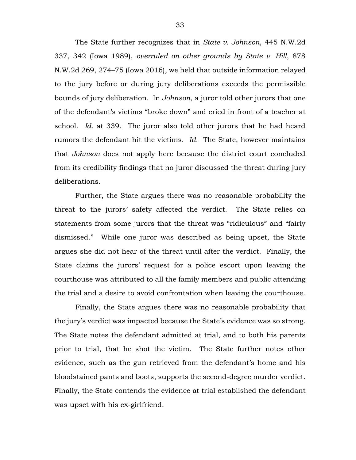The State further recognizes that in *State v. Johnson*, 445 N.W.2d 337, 342 (Iowa 1989), *overruled on other grounds by State v. Hill*, 878 N.W.2d 269, 274–75 (Iowa 2016), we held that outside information relayed to the jury before or during jury deliberations exceeds the permissible bounds of jury deliberation. In *Johnson*, a juror told other jurors that one of the defendant's victims "broke down" and cried in front of a teacher at school. *Id.* at 339. The juror also told other jurors that he had heard rumors the defendant hit the victims. *Id.* The State, however maintains that *Johnson* does not apply here because the district court concluded from its credibility findings that no juror discussed the threat during jury deliberations.

Further, the State argues there was no reasonable probability the threat to the jurors' safety affected the verdict. The State relies on statements from some jurors that the threat was "ridiculous" and "fairly dismissed." While one juror was described as being upset, the State argues she did not hear of the threat until after the verdict. Finally, the State claims the jurors' request for a police escort upon leaving the courthouse was attributed to all the family members and public attending the trial and a desire to avoid confrontation when leaving the courthouse.

Finally, the State argues there was no reasonable probability that the jury's verdict was impacted because the State's evidence was so strong. The State notes the defendant admitted at trial, and to both his parents prior to trial, that he shot the victim. The State further notes other evidence, such as the gun retrieved from the defendant's home and his bloodstained pants and boots, supports the second-degree murder verdict. Finally, the State contends the evidence at trial established the defendant was upset with his ex-girlfriend.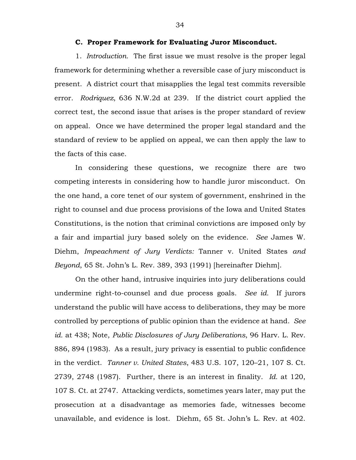## **C. Proper Framework for Evaluating Juror Misconduct.**

1. *Introduction.* The first issue we must resolve is the proper legal framework for determining whether a reversible case of jury misconduct is present. A district court that misapplies the legal test commits reversible error. *Rodriquez*, 636 N.W.2d at 239. If the district court applied the correct test, the second issue that arises is the proper standard of review on appeal. Once we have determined the proper legal standard and the standard of review to be applied on appeal, we can then apply the law to the facts of this case.

In considering these questions, we recognize there are two competing interests in considering how to handle juror misconduct. On the one hand, a core tenet of our system of government, enshrined in the right to counsel and due process provisions of the Iowa and United States Constitutions, is the notion that criminal convictions are imposed only by a fair and impartial jury based solely on the evidence. *See* James W. Diehm, *Impeachment of Jury Verdicts:* Tanner v. United States *and Beyond*, 65 St. John's L. Rev. 389, 393 (1991) [hereinafter Diehm].

On the other hand, intrusive inquiries into jury deliberations could undermine right-to-counsel and due process goals. *See id.* If jurors understand the public will have access to deliberations, they may be more controlled by perceptions of public opinion than the evidence at hand. *See id.* at 438; Note, *Public Disclosures of Jury Deliberations*, 96 Harv. L. Rev. 886, 894 (1983). As a result, jury privacy is essential to public confidence in the verdict. *Tanner v. United States*, 483 U.S. 107, 120–21, 107 S. Ct. 2739, 2748 (1987). Further, there is an interest in finality. *Id.* at 120, 107 S. Ct. at 2747. Attacking verdicts, sometimes years later, may put the prosecution at a disadvantage as memories fade, witnesses become unavailable, and evidence is lost. Diehm, 65 St. John's L. Rev. at 402.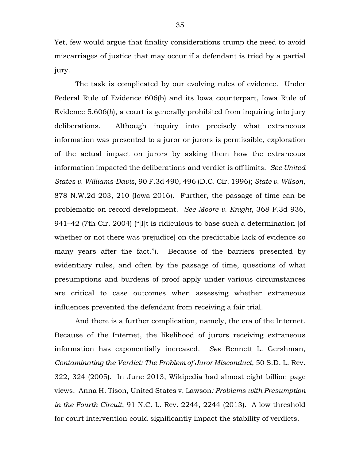Yet, few would argue that finality considerations trump the need to avoid miscarriages of justice that may occur if a defendant is tried by a partial jury.

The task is complicated by our evolving rules of evidence. Under Federal Rule of Evidence 606(b) and its Iowa counterpart, Iowa Rule of Evidence 5.606(*b*), a court is generally prohibited from inquiring into jury deliberations. Although inquiry into precisely what extraneous information was presented to a juror or jurors is permissible, exploration of the actual impact on jurors by asking them how the extraneous information impacted the deliberations and verdict is off limits. *See United States v. Williams-Davis*, 90 F.3d 490, 496 (D.C. Cir. 1996); *State v. Wilson*, 878 N.W.2d 203, 210 (Iowa 2016). Further, the passage of time can be problematic on record development. *See Moore v. Knight*, 368 F.3d 936, 941–42 (7th Cir. 2004) ("[I]t is ridiculous to base such a determination [of whether or not there was prejudice] on the predictable lack of evidence so many years after the fact."). Because of the barriers presented by evidentiary rules, and often by the passage of time, questions of what presumptions and burdens of proof apply under various circumstances are critical to case outcomes when assessing whether extraneous influences prevented the defendant from receiving a fair trial.

And there is a further complication, namely, the era of the Internet. Because of the Internet, the likelihood of jurors receiving extraneous information has exponentially increased. *See* Bennett L. Gershman, *Contaminating the Verdict: The Problem of Juror Misconduct*, 50 S.D. L. Rev. 322, 324 (2005). In June 2013, Wikipedia had almost eight billion page views. Anna H. Tison, United States v. Lawson*: Problems with Presumption in the Fourth Circuit*, 91 N.C. L. Rev. 2244, 2244 (2013). A low threshold for court intervention could significantly impact the stability of verdicts.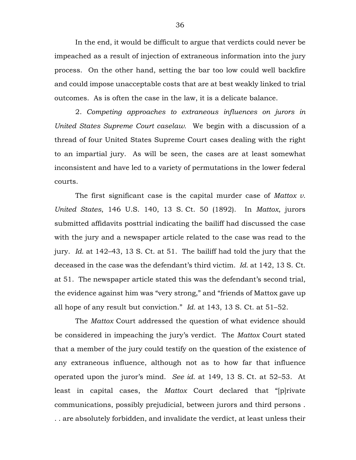In the end, it would be difficult to argue that verdicts could never be impeached as a result of injection of extraneous information into the jury process. On the other hand, setting the bar too low could well backfire and could impose unacceptable costs that are at best weakly linked to trial outcomes. As is often the case in the law, it is a delicate balance.

2. *Competing approaches to extraneous influences on jurors in United States Supreme Court caselaw.* We begin with a discussion of a thread of four United States Supreme Court cases dealing with the right to an impartial jury. As will be seen, the cases are at least somewhat inconsistent and have led to a variety of permutations in the lower federal courts.

The first significant case is the capital murder case of *Mattox v. United States*, 146 U.S. 140, 13 S. Ct. 50 (1892). In *Mattox*, jurors submitted affidavits posttrial indicating the bailiff had discussed the case with the jury and a newspaper article related to the case was read to the jury. *Id.* at 142–43, 13 S. Ct. at 51. The bailiff had told the jury that the deceased in the case was the defendant's third victim. *Id.* at 142, 13 S. Ct. at 51. The newspaper article stated this was the defendant's second trial, the evidence against him was "very strong," and "friends of Mattox gave up all hope of any result but conviction." *Id.* at 143, 13 S. Ct. at 51–52.

The *Mattox* Court addressed the question of what evidence should be considered in impeaching the jury's verdict. The *Mattox* Court stated that a member of the jury could testify on the question of the existence of any extraneous influence, although not as to how far that influence operated upon the juror's mind. *See id.* at 149, 13 S. Ct. at 52–53. At least in capital cases, the *Mattox* Court declared that "[p]rivate communications, possibly prejudicial, between jurors and third persons . . . are absolutely forbidden, and invalidate the verdict, at least unless their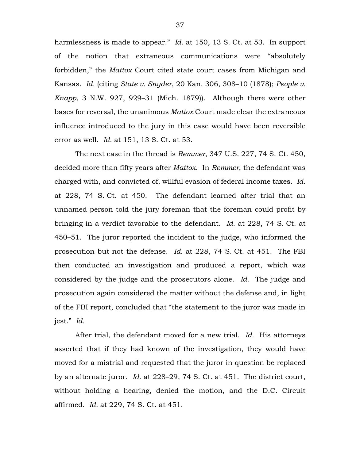harmlessness is made to appear." *Id.* at 150, 13 S. Ct. at 53. In support of the notion that extraneous communications were "absolutely forbidden," the *Mattox* Court cited state court cases from Michigan and Kansas. *Id.* (citing *State v. Snyder*, 20 Kan. 306, 308–10 (1878); *People v. Knapp*, 3 N.W. 927, 929–31 (Mich. 1879)). Although there were other bases for reversal, the unanimous *Mattox* Court made clear the extraneous influence introduced to the jury in this case would have been reversible error as well. *Id.* at 151, 13 S. Ct. at 53.

The next case in the thread is *Remmer*, 347 U.S. 227, 74 S. Ct. 450, decided more than fifty years after *Mattox*. In *Remmer*, the defendant was charged with, and convicted of, willful evasion of federal income taxes. *Id.* at 228, 74 S. Ct. at 450. The defendant learned after trial that an unnamed person told the jury foreman that the foreman could profit by bringing in a verdict favorable to the defendant. *Id.* at 228, 74 S. Ct. at 450–51. The juror reported the incident to the judge, who informed the prosecution but not the defense. *Id.* at 228, 74 S. Ct. at 451. The FBI then conducted an investigation and produced a report, which was considered by the judge and the prosecutors alone. *Id.* The judge and prosecution again considered the matter without the defense and, in light of the FBI report, concluded that "the statement to the juror was made in jest." *Id.*

After trial, the defendant moved for a new trial. *Id.* His attorneys asserted that if they had known of the investigation, they would have moved for a mistrial and requested that the juror in question be replaced by an alternate juror. *Id.* at 228–29, 74 S. Ct. at 451. The district court, without holding a hearing, denied the motion, and the D.C. Circuit affirmed. *Id.* at 229, 74 S. Ct. at 451.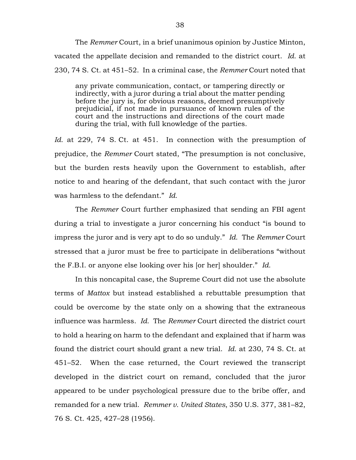The *Remmer* Court, in a brief unanimous opinion by Justice Minton, vacated the appellate decision and remanded to the district court. *Id.* at 230, 74 S. Ct. at 451–52. In a criminal case, the *Remmer* Court noted that

any private communication, contact, or tampering directly or indirectly, with a juror during a trial about the matter pending before the jury is, for obvious reasons, deemed presumptively prejudicial, if not made in pursuance of known rules of the court and the instructions and directions of the court made during the trial, with full knowledge of the parties.

*Id.* at 229, 74 S. Ct. at 451. In connection with the presumption of prejudice, the *Remmer* Court stated, "The presumption is not conclusive, but the burden rests heavily upon the Government to establish, after notice to and hearing of the defendant, that such contact with the juror was harmless to the defendant." *Id.*

The *Remmer* Court further emphasized that sending an FBI agent during a trial to investigate a juror concerning his conduct "is bound to impress the juror and is very apt to do so unduly." *Id.* The *Remmer* Court stressed that a juror must be free to participate in deliberations "without the F.B.I. or anyone else looking over his [or her] shoulder." *Id.*

In this noncapital case, the Supreme Court did not use the absolute terms of *Mattox* but instead established a rebuttable presumption that could be overcome by the state only on a showing that the extraneous influence was harmless. *Id.* The *Remmer* Court directed the district court to hold a hearing on harm to the defendant and explained that if harm was found the district court should grant a new trial. *Id.* at 230, 74 S. Ct. at 451–52. When the case returned, the Court reviewed the transcript developed in the district court on remand, concluded that the juror appeared to be under psychological pressure due to the bribe offer, and remanded for a new trial. *Remmer v. United States*, 350 U.S. 377, 381–82, 76 S. Ct. 425, 427–28 (1956).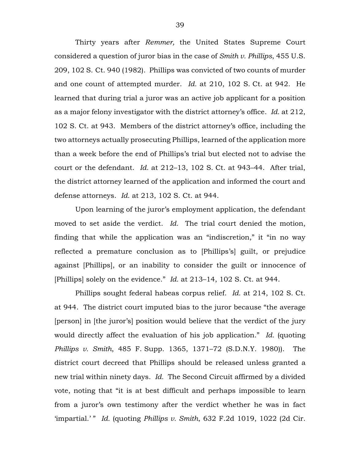Thirty years after *Remmer,* the United States Supreme Court considered a question of juror bias in the case of *Smith v. Phillips*, 455 U.S. 209, 102 S. Ct. 940 (1982). Phillips was convicted of two counts of murder and one count of attempted murder. *Id.* at 210, 102 S. Ct. at 942. He learned that during trial a juror was an active job applicant for a position as a major felony investigator with the district attorney's office. *Id.* at 212, 102 S. Ct. at 943. Members of the district attorney's office, including the two attorneys actually prosecuting Phillips, learned of the application more than a week before the end of Phillips's trial but elected not to advise the court or the defendant. *Id.* at 212–13, 102 S. Ct. at 943–44. After trial, the district attorney learned of the application and informed the court and defense attorneys. *Id.* at 213, 102 S. Ct. at 944.

Upon learning of the juror's employment application, the defendant moved to set aside the verdict. *Id.* The trial court denied the motion, finding that while the application was an "indiscretion," it "in no way reflected a premature conclusion as to [Phillips's] guilt, or prejudice against [Phillips], or an inability to consider the guilt or innocence of [Phillips] solely on the evidence." *Id.* at 213–14, 102 S. Ct. at 944.

Phillips sought federal habeas corpus relief. *Id.* at 214, 102 S. Ct. at 944. The district court imputed bias to the juror because "the average [person] in [the juror's] position would believe that the verdict of the jury would directly affect the evaluation of his job application." *Id.* (quoting *Phillips v. Smith*, 485 F. Supp. 1365, 1371–72 (S.D.N.Y. 1980)). The district court decreed that Phillips should be released unless granted a new trial within ninety days. *Id.* The Second Circuit affirmed by a divided vote, noting that "it is at best difficult and perhaps impossible to learn from a juror's own testimony after the verdict whether he was in fact 'impartial.' " *Id.* (quoting *Phillips v. Smith*, 632 F.2d 1019, 1022 (2d Cir.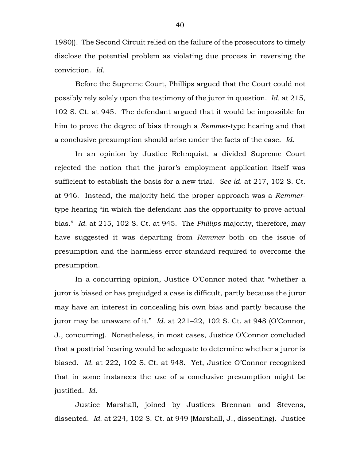1980)). The Second Circuit relied on the failure of the prosecutors to timely disclose the potential problem as violating due process in reversing the conviction. *Id.*

Before the Supreme Court, Phillips argued that the Court could not possibly rely solely upon the testimony of the juror in question. *Id.* at 215, 102 S. Ct. at 945. The defendant argued that it would be impossible for him to prove the degree of bias through a *Remmer*-type hearing and that a conclusive presumption should arise under the facts of the case. *Id.*

In an opinion by Justice Rehnquist, a divided Supreme Court rejected the notion that the juror's employment application itself was sufficient to establish the basis for a new trial. *See id.* at 217, 102 S. Ct. at 946. Instead, the majority held the proper approach was a *Remmer*type hearing "in which the defendant has the opportunity to prove actual bias." *Id.* at 215, 102 S. Ct. at 945. The *Phillips* majority, therefore, may have suggested it was departing from *Remmer* both on the issue of presumption and the harmless error standard required to overcome the presumption.

In a concurring opinion, Justice O'Connor noted that "whether a juror is biased or has prejudged a case is difficult, partly because the juror may have an interest in concealing his own bias and partly because the juror may be unaware of it." *Id*. at 221–22, 102 S. Ct. at 948 (O'Connor, J., concurring). Nonetheless, in most cases, Justice O'Connor concluded that a posttrial hearing would be adequate to determine whether a juror is biased. *Id*. at 222, 102 S. Ct. at 948. Yet, Justice O'Connor recognized that in some instances the use of a conclusive presumption might be justified. *Id.*

Justice Marshall, joined by Justices Brennan and Stevens, dissented. *Id.* at 224, 102 S. Ct. at 949 (Marshall, J., dissenting). Justice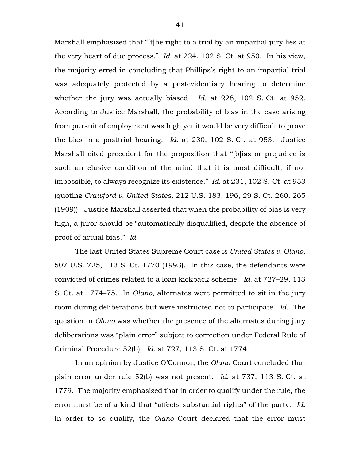Marshall emphasized that "[t]he right to a trial by an impartial jury lies at the very heart of due process." *Id.* at 224, 102 S. Ct. at 950. In his view, the majority erred in concluding that Phillips's right to an impartial trial was adequately protected by a postevidentiary hearing to determine whether the jury was actually biased. *Id.* at 228, 102 S. Ct. at 952. According to Justice Marshall, the probability of bias in the case arising from pursuit of employment was high yet it would be very difficult to prove the bias in a posttrial hearing. *Id.* at 230, 102 S. Ct. at 953. Justice Marshall cited precedent for the proposition that "[b]ias or prejudice is such an elusive condition of the mind that it is most difficult, if not impossible, to always recognize its existence." *Id.* at 231, 102 S. Ct. at 953 (quoting *Crawford v. United States*, 212 U.S. 183, 196, 29 S. Ct. 260, 265 (1909)). Justice Marshall asserted that when the probability of bias is very high, a juror should be "automatically disqualified, despite the absence of proof of actual bias." *Id.*

The last United States Supreme Court case is *United States v. Olano*, 507 U.S. 725, 113 S. Ct. 1770 (1993). In this case, the defendants were convicted of crimes related to a loan kickback scheme. *Id.* at 727–29, 113 S. Ct. at 1774–75. In *Olano*, alternates were permitted to sit in the jury room during deliberations but were instructed not to participate. *Id.* The question in *Olano* was whether the presence of the alternates during jury deliberations was "plain error" subject to correction under Federal Rule of Criminal Procedure 52(b). *Id.* at 727, 113 S. Ct. at 1774.

In an opinion by Justice O'Connor, the *Olano* Court concluded that plain error under rule 52(b) was not present. *Id.* at 737, 113 S. Ct. at 1779. The majority emphasized that in order to qualify under the rule, the error must be of a kind that "affects substantial rights" of the party. *Id.* In order to so qualify, the *Olano* Court declared that the error must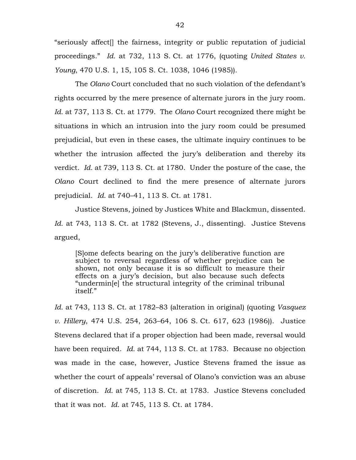"seriously affect[] the fairness, integrity or public reputation of judicial proceedings." *Id.* at 732, 113 S. Ct. at 1776, (quoting *United States v. Young*, 470 U.S. 1, 15, 105 S. Ct. 1038, 1046 (1985)).

The *Olano* Court concluded that no such violation of the defendant's rights occurred by the mere presence of alternate jurors in the jury room. *Id.* at 737, 113 S. Ct. at 1779. The *Olano* Court recognized there might be situations in which an intrusion into the jury room could be presumed prejudicial, but even in these cases, the ultimate inquiry continues to be whether the intrusion affected the jury's deliberation and thereby its verdict. *Id.* at 739, 113 S. Ct. at 1780. Under the posture of the case, the *Olano* Court declined to find the mere presence of alternate jurors prejudicial. *Id.* at 740–41, 113 S. Ct. at 1781.

Justice Stevens, joined by Justices White and Blackmun, dissented. Id. at 743, 113 S. Ct. at 1782 (Stevens, J., dissenting). Justice Stevens argued,

[S]ome defects bearing on the jury's deliberative function are subject to reversal regardless of whether prejudice can be shown, not only because it is so difficult to measure their effects on a jury's decision, but also because such defects "undermin[e] the structural integrity of the criminal tribunal itself."

*Id.* at 743, 113 S. Ct. at 1782–83 (alteration in original) (quoting *Vasquez v. Hillery*, 474 U.S. 254, 263–64, 106 S. Ct. 617, 623 (1986)). Justice Stevens declared that if a proper objection had been made, reversal would have been required. *Id.* at 744, 113 S. Ct. at 1783. Because no objection was made in the case, however, Justice Stevens framed the issue as whether the court of appeals' reversal of Olano's conviction was an abuse of discretion. *Id.* at 745, 113 S. Ct. at 1783. Justice Stevens concluded that it was not. *Id.* at 745, 113 S. Ct. at 1784.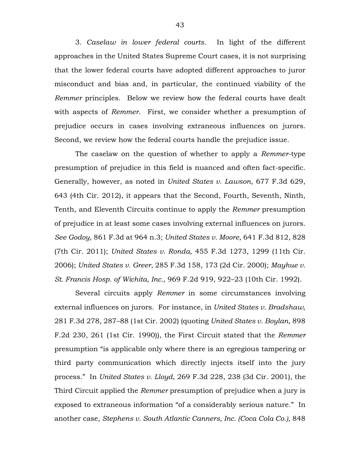3. *Caselaw in lower federal courts.* In light of the different approaches in the United States Supreme Court cases, it is not surprising that the lower federal courts have adopted different approaches to juror misconduct and bias and, in particular, the continued viability of the *Remmer* principles. Below we review how the federal courts have dealt with aspects of *Remmer*. First, we consider whether a presumption of prejudice occurs in cases involving extraneous influences on jurors. Second, we review how the federal courts handle the prejudice issue.

The caselaw on the question of whether to apply a *Remmer*-type presumption of prejudice in this field is nuanced and often fact-specific. Generally, however, as noted in *United States v. Lawson*, 677 F.3d 629, 643 (4th Cir. 2012), it appears that the Second, Fourth, Seventh, Ninth, Tenth, and Eleventh Circuits continue to apply the *Remmer* presumption of prejudice in at least some cases involving external influences on jurors. *See Godoy*, 861 F.3d at 964 n.3; *United States v. Moore*, 641 F.3d 812, 828 (7th Cir. 2011); *United States v. Ronda*, 455 F.3d 1273, 1299 (11th Cir. 2006); *United States v. Greer*, 285 F.3d 158, 173 (2d Cir. 2000); *Mayhue v. St. Francis Hosp. of Wichita, Inc.*, 969 F.2d 919, 922–23 (10th Cir. 1992).

Several circuits apply *Remmer* in some circumstances involving external influences on jurors. For instance, in *United States v. Bradshaw*, 281 F.3d 278, 287–88 (1st Cir. 2002) (quoting *United States v. Boylan*, 898 F.2d 230, 261 (1st Cir. 1990)), the First Circuit stated that the *Remmer* presumption "is applicable only where there is an egregious tampering or third party communication which directly injects itself into the jury process." In *United States v. Lloyd*, 269 F.3d 228, 238 (3d Cir. 2001), the Third Circuit applied the *Remmer* presumption of prejudice when a jury is exposed to extraneous information "of a considerably serious nature." In another case, *Stephens v. South Atlantic Canners, Inc. (Coca Cola Co.)*, 848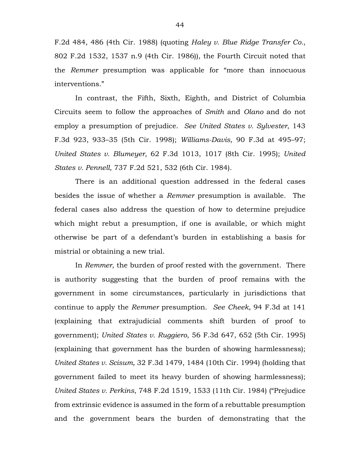F.2d 484, 486 (4th Cir. 1988) (quoting *Haley v. Blue Ridge Transfer Co.*, 802 F.2d 1532, 1537 n.9 (4th Cir. 1986)), the Fourth Circuit noted that the *Remmer* presumption was applicable for "more than innocuous interventions."

In contrast, the Fifth, Sixth, Eighth, and District of Columbia Circuits seem to follow the approaches of *Smith* and *Olano* and do not employ a presumption of prejudice. *See United States v. Sylvester*, 143 F.3d 923, 933–35 (5th Cir. 1998); *Williams-Davis*, 90 F.3d at 495–97; *United States v. Blumeyer*, 62 F.3d 1013, 1017 (8th Cir. 1995); *United States v. Pennell*, 737 F.2d 521, 532 (6th Cir. 1984).

There is an additional question addressed in the federal cases besides the issue of whether a *Remmer* presumption is available. The federal cases also address the question of how to determine prejudice which might rebut a presumption, if one is available, or which might otherwise be part of a defendant's burden in establishing a basis for mistrial or obtaining a new trial.

In *Remmer*, the burden of proof rested with the government. There is authority suggesting that the burden of proof remains with the government in some circumstances, particularly in jurisdictions that continue to apply the *Remmer* presumption. *See Cheek*, 94 F.3d at 141 (explaining that extrajudicial comments shift burden of proof to government); *United States v. Ruggiero*, 56 F.3d 647, 652 (5th Cir. 1995) (explaining that government has the burden of showing harmlessness); *United States v. Scisum*, 32 F.3d 1479, 1484 (10th Cir. 1994) (holding that government failed to meet its heavy burden of showing harmlessness); *United States v. Perkins*, 748 F.2d 1519, 1533 (11th Cir. 1984) ("Prejudice from extrinsic evidence is assumed in the form of a rebuttable presumption and the government bears the burden of demonstrating that the

44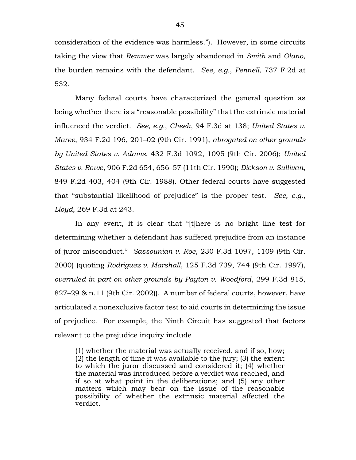consideration of the evidence was harmless."). However, in some circuits taking the view that *Remmer* was largely abandoned in *Smith* and *Olano*, the burden remains with the defendant. *See, e.g.*, *Pennell*, 737 F.2d at 532.

Many federal courts have characterized the general question as being whether there is a "reasonable possibility" that the extrinsic material influenced the verdict. *See, e.g.*, *Cheek*, 94 F.3d at 138; *United States v. Maree*, 934 F.2d 196, 201–02 (9th Cir. 1991), *abrogated on other grounds by United States v. Adams*, 432 F.3d 1092, 1095 (9th Cir. 2006); *United States v. Rowe*, 906 F.2d 654, 656–57 (11th Cir. 1990); *Dickson v. Sullivan*, 849 F.2d 403, 404 (9th Cir. 1988). Other federal courts have suggested that "substantial likelihood of prejudice" is the proper test. *See, e.g.*, *Lloyd*, 269 F.3d at 243.

In any event, it is clear that "[t]here is no bright line test for determining whether a defendant has suffered prejudice from an instance of juror misconduct." *Sassounian v. Roe*, 230 F.3d 1097, 1109 (9th Cir. 2000) (quoting *Rodriguez v. Marshall*, 125 F.3d 739, 744 (9th Cir. 1997), *overruled in part on other grounds by Payton v. Woodford*, 299 F.3d 815, 827–29 & n.11 (9th Cir. 2002)). A number of federal courts, however, have articulated a nonexclusive factor test to aid courts in determining the issue of prejudice. For example, the Ninth Circuit has suggested that factors relevant to the prejudice inquiry include

(1) whether the material was actually received, and if so, how; (2) the length of time it was available to the jury; (3) the extent to which the juror discussed and considered it; (4) whether the material was introduced before a verdict was reached, and if so at what point in the deliberations; and (5) any other matters which may bear on the issue of the reasonable possibility of whether the extrinsic material affected the verdict.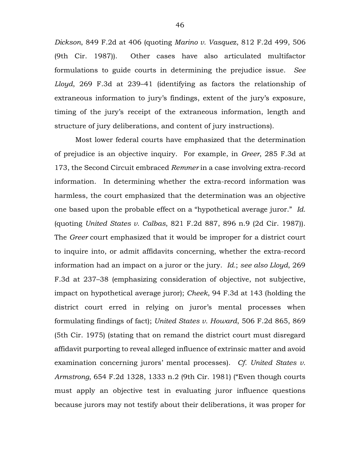*Dickson*, 849 F.2d at 406 (quoting *Marino v. Vasque*z, 812 F.2d 499, 506 (9th Cir. 1987)). Other cases have also articulated multifactor formulations to guide courts in determining the prejudice issue. *See Lloyd*, 269 F.3d at 239–41 (identifying as factors the relationship of extraneous information to jury's findings, extent of the jury's exposure, timing of the jury's receipt of the extraneous information, length and structure of jury deliberations, and content of jury instructions).

Most lower federal courts have emphasized that the determination of prejudice is an objective inquiry. For example, in *Greer*, 285 F.3d at 173, the Second Circuit embraced *Remmer* in a case involving extra-record information. In determining whether the extra-record information was harmless, the court emphasized that the determination was an objective one based upon the probable effect on a "hypothetical average juror." *Id.* (quoting *United States v. Calbas*, 821 F.2d 887, 896 n.9 (2d Cir. 1987)). The *Greer* court emphasized that it would be improper for a district court to inquire into, or admit affidavits concerning, whether the extra-record information had an impact on a juror or the jury. *Id.*; *see also Lloyd*, 269 F.3d at 237–38 (emphasizing consideration of objective, not subjective, impact on hypothetical average juror); *Cheek*, 94 F.3d at 143 (holding the district court erred in relying on juror's mental processes when formulating findings of fact); *United States v. Howard*, 506 F.2d 865, 869 (5th Cir. 1975) (stating that on remand the district court must disregard affidavit purporting to reveal alleged influence of extrinsic matter and avoid examination concerning jurors' mental processes). *Cf. United States v. Armstrong*, 654 F.2d 1328, 1333 n.2 (9th Cir. 1981) ("Even though courts must apply an objective test in evaluating juror influence questions because jurors may not testify about their deliberations, it was proper for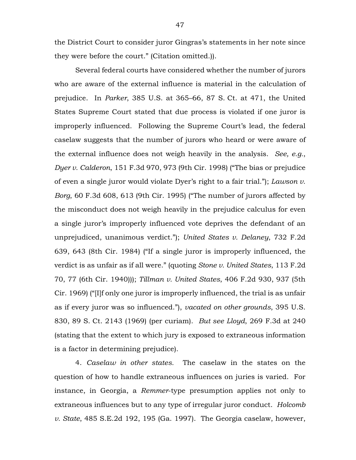the District Court to consider juror Gingras's statements in her note since they were before the court." (Citation omitted.)).

Several federal courts have considered whether the number of jurors who are aware of the external influence is material in the calculation of prejudice. In *Parker*, 385 U.S. at 365–66, 87 S. Ct. at 471, the United States Supreme Court stated that due process is violated if one juror is improperly influenced. Following the Supreme Court's lead, the federal caselaw suggests that the number of jurors who heard or were aware of the external influence does not weigh heavily in the analysis. *See, e.g.*, *Dyer v. Calderon*, 151 F.3d 970, 973 (9th Cir. 1998) ("The bias or prejudice of even a single juror would violate Dyer's right to a fair trial."); *Lawson v. Borg*, 60 F.3d 608, 613 (9th Cir. 1995) ("The number of jurors affected by the misconduct does not weigh heavily in the prejudice calculus for even a single juror's improperly influenced vote deprives the defendant of an unprejudiced, unanimous verdict."); *United States v. Delaney*, 732 F.2d 639, 643 (8th Cir. 1984) ("If a single juror is improperly influenced, the verdict is as unfair as if all were." (quoting *Stone v. United States*, 113 F.2d 70, 77 (6th Cir. 1940))); *Tillman v. United States*, 406 F.2d 930, 937 (5th Cir. 1969) ("[I]f only one juror is improperly influenced, the trial is as unfair as if every juror was so influenced."), *vacated on other grounds*, 395 U.S. 830, 89 S. Ct. 2143 (1969) (per curiam). *But see Lloyd*, 269 F.3d at 240 (stating that the extent to which jury is exposed to extraneous information is a factor in determining prejudice).

4. *Caselaw in other states.* The caselaw in the states on the question of how to handle extraneous influences on juries is varied. For instance, in Georgia, a *Remmer*-type presumption applies not only to extraneous influences but to any type of irregular juror conduct. *Holcomb v. State*, 485 S.E.2d 192, 195 (Ga. 1997). The Georgia caselaw, however,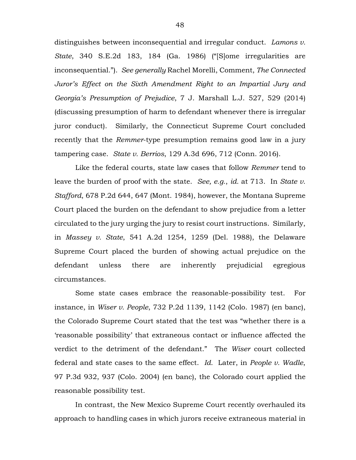distinguishes between inconsequential and irregular conduct. *Lamons v. State*, 340 S.E.2d 183, 184 (Ga. 1986) ("[S]ome irregularities are inconsequential."). *See generally* Rachel Morelli, Comment, *The Connected Juror's Effect on the Sixth Amendment Right to an Impartial Jury and Georgia's Presumption of Prejudice*, 7 J. Marshall L.J. 527, 529 (2014) (discussing presumption of harm to defendant whenever there is irregular juror conduct). Similarly, the Connecticut Supreme Court concluded recently that the *Remmer*-type presumption remains good law in a jury tampering case. *State v. Berrios*, 129 A.3d 696, 712 (Conn. 2016).

Like the federal courts, state law cases that follow *Remmer* tend to leave the burden of proof with the state. *See, e.g.*, *id.* at 713. In *State v. Stafford*, 678 P.2d 644, 647 (Mont. 1984), however, the Montana Supreme Court placed the burden on the defendant to show prejudice from a letter circulated to the jury urging the jury to resist court instructions. Similarly, in *Massey v. State*, 541 A.2d 1254, 1259 (Del. 1988), the Delaware Supreme Court placed the burden of showing actual prejudice on the defendant unless there are inherently prejudicial egregious circumstances.

Some state cases embrace the reasonable-possibility test. For instance, in *Wiser v. People*, 732 P.2d 1139, 1142 (Colo. 1987) (en banc), the Colorado Supreme Court stated that the test was "whether there is a 'reasonable possibility' that extraneous contact or influence affected the verdict to the detriment of the defendant." The *Wiser* court collected federal and state cases to the same effect. *Id.* Later, in *People v. Wadle*, 97 P.3d 932, 937 (Colo. 2004) (en banc), the Colorado court applied the reasonable possibility test.

In contrast, the New Mexico Supreme Court recently overhauled its approach to handling cases in which jurors receive extraneous material in

48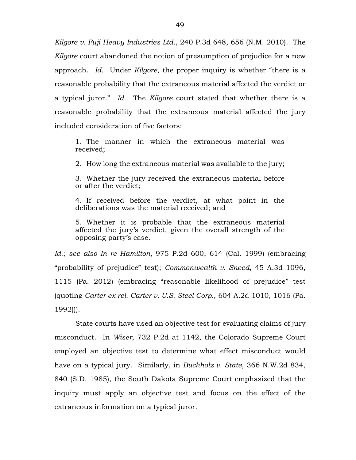*Kilgore v. Fuji Heavy Industries Ltd.*, 240 P.3d 648, 656 (N.M. 2010). The *Kilgore* court abandoned the notion of presumption of prejudice for a new approach. *Id.* Under *Kilgore*, the proper inquiry is whether "there is a reasonable probability that the extraneous material affected the verdict or a typical juror." *Id.* The *Kilgore* court stated that whether there is a reasonable probability that the extraneous material affected the jury included consideration of five factors:

1. The manner in which the extraneous material was received;

2. How long the extraneous material was available to the jury;

3. Whether the jury received the extraneous material before or after the verdict;

4. If received before the verdict, at what point in the deliberations was the material received; and

5. Whether it is probable that the extraneous material affected the jury's verdict, given the overall strength of the opposing party's case.

*Id.*; *see also In re Hamilton*, 975 P.2d 600, 614 (Cal. 1999) (embracing "probability of prejudice" test); *Commonwealth v. Sneed*, 45 A.3d 1096, 1115 (Pa. 2012) (embracing "reasonable likelihood of prejudice" test (quoting *Carter ex rel. Carter v. U.S. Steel Corp.*, 604 A.2d 1010, 1016 (Pa. 1992))).

State courts have used an objective test for evaluating claims of jury misconduct. In *Wiser*, 732 P.2d at 1142, the Colorado Supreme Court employed an objective test to determine what effect misconduct would have on a typical jury. Similarly, in *Buchholz v. State*, 366 N.W.2d 834, 840 (S.D. 1985), the South Dakota Supreme Court emphasized that the inquiry must apply an objective test and focus on the effect of the extraneous information on a typical juror.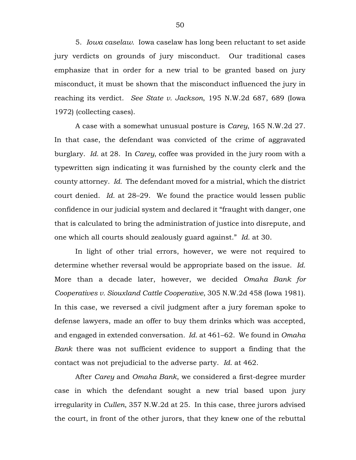5. *Iowa caselaw.* Iowa caselaw has long been reluctant to set aside jury verdicts on grounds of jury misconduct. Our traditional cases emphasize that in order for a new trial to be granted based on jury misconduct, it must be shown that the misconduct influenced the jury in reaching its verdict. *See State v. Jackson*, 195 N.W.2d 687, 689 (Iowa 1972) (collecting cases).

A case with a somewhat unusual posture is *Carey*, 165 N.W.2d 27. In that case, the defendant was convicted of the crime of aggravated burglary. *Id.* at 28. In *Carey*, coffee was provided in the jury room with a typewritten sign indicating it was furnished by the county clerk and the county attorney. *Id.* The defendant moved for a mistrial, which the district court denied. *Id.* at 28–29. We found the practice would lessen public confidence in our judicial system and declared it "fraught with danger, one that is calculated to bring the administration of justice into disrepute, and one which all courts should zealously guard against." *Id.* at 30.

In light of other trial errors, however, we were not required to determine whether reversal would be appropriate based on the issue. *Id.* More than a decade later, however, we decided *Omaha Bank for Cooperatives v. Siouxland Cattle Cooperative*, 305 N.W.2d 458 (Iowa 1981). In this case, we reversed a civil judgment after a jury foreman spoke to defense lawyers, made an offer to buy them drinks which was accepted, and engaged in extended conversation*. Id.* at 461–62. We found in *Omaha Bank* there was not sufficient evidence to support a finding that the contact was not prejudicial to the adverse party. *Id.* at 462.

After *Carey* and *Omaha Bank*, we considered a first-degree murder case in which the defendant sought a new trial based upon jury irregularity in *Cullen*, 357 N.W.2d at 25. In this case, three jurors advised the court, in front of the other jurors, that they knew one of the rebuttal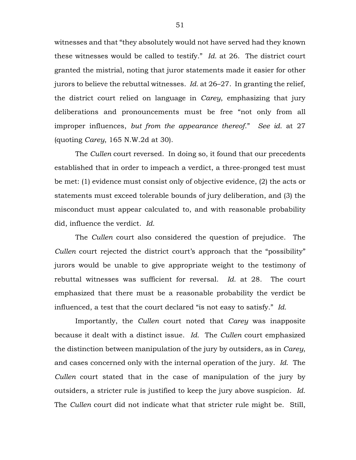witnesses and that "they absolutely would not have served had they known these witnesses would be called to testify." *Id.* at 26. The district court granted the mistrial, noting that juror statements made it easier for other jurors to believe the rebuttal witnesses. *Id.* at 26–27. In granting the relief, the district court relied on language in *Carey*, emphasizing that jury deliberations and pronouncements must be free "not only from all improper influences, *but from the appearance thereof*." *See id.* at 27 (quoting *Carey*, 165 N.W.2d at 30).

The *Cullen* court reversed. In doing so, it found that our precedents established that in order to impeach a verdict, a three-pronged test must be met: (1) evidence must consist only of objective evidence, (2) the acts or statements must exceed tolerable bounds of jury deliberation, and (3) the misconduct must appear calculated to, and with reasonable probability did, influence the verdict. *Id.*

The *Cullen* court also considered the question of prejudice. The *Cullen* court rejected the district court's approach that the "possibility" jurors would be unable to give appropriate weight to the testimony of rebuttal witnesses was sufficient for reversal. *Id.* at 28. The court emphasized that there must be a reasonable probability the verdict be influenced, a test that the court declared "is not easy to satisfy." *Id.*

Importantly, the *Cullen* court noted that *Carey* was inapposite because it dealt with a distinct issue. *Id.* The *Cullen* court emphasized the distinction between manipulation of the jury by outsiders, as in *Carey*, and cases concerned only with the internal operation of the jury. *Id.* The *Cullen* court stated that in the case of manipulation of the jury by outsiders, a stricter rule is justified to keep the jury above suspicion. *Id.* The *Cullen* court did not indicate what that stricter rule might be. Still,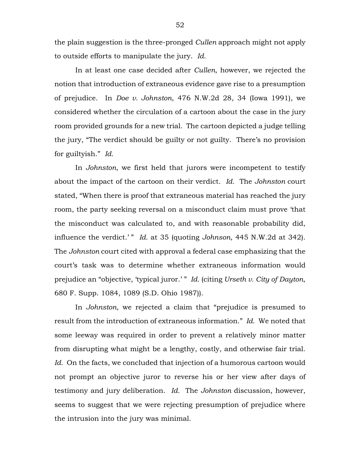the plain suggestion is the three-pronged *Cullen* approach might not apply to outside efforts to manipulate the jury. *Id.*

In at least one case decided after *Cullen*, however, we rejected the notion that introduction of extraneous evidence gave rise to a presumption of prejudice. In *Doe v. Johnston*, 476 N.W.2d 28, 34 (Iowa 1991), we considered whether the circulation of a cartoon about the case in the jury room provided grounds for a new trial. The cartoon depicted a judge telling the jury, "The verdict should be guilty or not guilty. There's no provision for guiltyish." *Id.*

In *Johnston*, we first held that jurors were incompetent to testify about the impact of the cartoon on their verdict. *Id.* The *Johnston* court stated, "When there is proof that extraneous material has reached the jury room, the party seeking reversal on a misconduct claim must prove 'that the misconduct was calculated to, and with reasonable probability did, influence the verdict.'" *Id.* at 35 (quoting *Johnson*, 445 N.W.2d at 342). The *Johnston* court cited with approval a federal case emphasizing that the court's task was to determine whether extraneous information would prejudice an "objective, 'typical juror.' " *Id.* (citing *Urseth v. City of Dayton*, 680 F. Supp. 1084, 1089 (S.D. Ohio 1987)).

In *Johnston*, we rejected a claim that "prejudice is presumed to result from the introduction of extraneous information." *Id.* We noted that some leeway was required in order to prevent a relatively minor matter from disrupting what might be a lengthy, costly, and otherwise fair trial. *Id.* On the facts, we concluded that injection of a humorous cartoon would not prompt an objective juror to reverse his or her view after days of testimony and jury deliberation. *Id.* The *Johnston* discussion, however, seems to suggest that we were rejecting presumption of prejudice where the intrusion into the jury was minimal.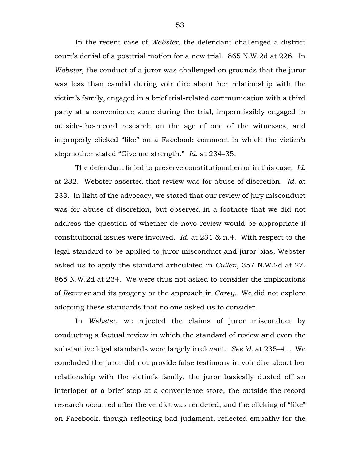In the recent case of *Webster*, the defendant challenged a district court's denial of a posttrial motion for a new trial. 865 N.W.2d at 226. In *Webster*, the conduct of a juror was challenged on grounds that the juror was less than candid during voir dire about her relationship with the victim's family, engaged in a brief trial-related communication with a third party at a convenience store during the trial, impermissibly engaged in outside-the-record research on the age of one of the witnesses, and improperly clicked "like" on a Facebook comment in which the victim's stepmother stated "Give me strength." *Id.* at 234–35.

The defendant failed to preserve constitutional error in this case. *Id.* at 232. Webster asserted that review was for abuse of discretion. *Id.* at 233. In light of the advocacy, we stated that our review of jury misconduct was for abuse of discretion, but observed in a footnote that we did not address the question of whether de novo review would be appropriate if constitutional issues were involved. *Id.* at 231 & n.4. With respect to the legal standard to be applied to juror misconduct and juror bias, Webster asked us to apply the standard articulated in *Cullen*, 357 N.W.2d at 27. 865 N.W.2d at 234. We were thus not asked to consider the implications of *Remmer* and its progeny or the approach in *Carey*. We did not explore adopting these standards that no one asked us to consider.

In *Webster*, we rejected the claims of juror misconduct by conducting a factual review in which the standard of review and even the substantive legal standards were largely irrelevant. *See id.* at 235–41. We concluded the juror did not provide false testimony in voir dire about her relationship with the victim's family, the juror basically dusted off an interloper at a brief stop at a convenience store, the outside-the-record research occurred after the verdict was rendered, and the clicking of "like" on Facebook, though reflecting bad judgment, reflected empathy for the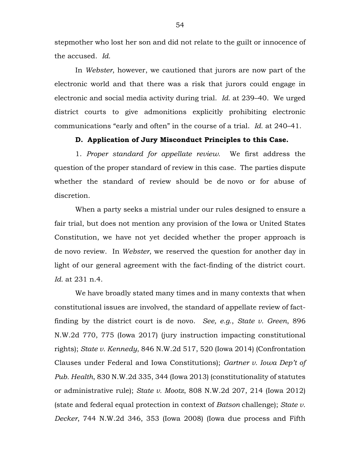stepmother who lost her son and did not relate to the guilt or innocence of the accused. *Id.*

In *Webster*, however, we cautioned that jurors are now part of the electronic world and that there was a risk that jurors could engage in electronic and social media activity during trial. *Id.* at 239–40. We urged district courts to give admonitions explicitly prohibiting electronic communications "early and often" in the course of a trial. *Id.* at 240–41.

## **D. Application of Jury Misconduct Principles to this Case.**

1. *Proper standard for appellate review.* We first address the question of the proper standard of review in this case. The parties dispute whether the standard of review should be de novo or for abuse of discretion.

When a party seeks a mistrial under our rules designed to ensure a fair trial, but does not mention any provision of the Iowa or United States Constitution, we have not yet decided whether the proper approach is de novo review. In *Webster*, we reserved the question for another day in light of our general agreement with the fact-finding of the district court. *Id.* at 231 n.4.

We have broadly stated many times and in many contexts that when constitutional issues are involved, the standard of appellate review of factfinding by the district court is de novo. *See, e.g.*, *State v. Green*, 896 N.W.2d 770, 775 (Iowa 2017) (jury instruction impacting constitutional rights); *State v. Kennedy*, 846 N.W.2d 517, 520 (Iowa 2014) (Confrontation Clauses under Federal and Iowa Constitutions); *Gartner v. Iowa Dep't of Pub. Health*, 830 N.W.2d 335, 344 (Iowa 2013) (constitutionality of statutes or administrative rule); *State v. Mootz*, 808 N.W.2d 207, 214 (Iowa 2012) (state and federal equal protection in context of *Batson* challenge); *State v. Decker*, 744 N.W.2d 346, 353 (Iowa 2008) (Iowa due process and Fifth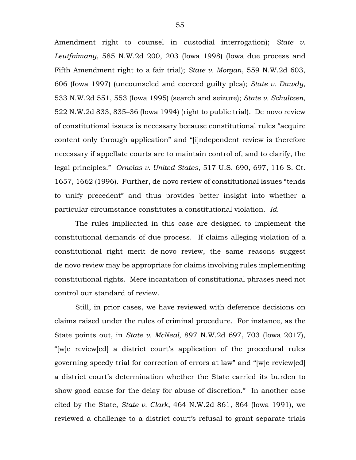Amendment right to counsel in custodial interrogation); *State v. Leutfaimany*, 585 N.W.2d 200, 203 (Iowa 1998) (Iowa due process and Fifth Amendment right to a fair trial); *State v. Morgan*, 559 N.W.2d 603, 606 (Iowa 1997) (uncounseled and coerced guilty plea); *State v. Dawdy*, 533 N.W.2d 551, 553 (Iowa 1995) (search and seizure); *State v. Schultzen*, 522 N.W.2d 833, 835–36 (Iowa 1994) (right to public trial). De novo review of constitutional issues is necessary because constitutional rules "acquire content only through application" and "[i]ndependent review is therefore necessary if appellate courts are to maintain control of, and to clarify, the legal principles." *Ornelas v. United States*, 517 U.S. 690, 697, 116 S. Ct. 1657, 1662 (1996). Further, de novo review of constitutional issues "tends to unify precedent" and thus provides better insight into whether a particular circumstance constitutes a constitutional violation. *Id.*

The rules implicated in this case are designed to implement the constitutional demands of due process. If claims alleging violation of a constitutional right merit de novo review, the same reasons suggest de novo review may be appropriate for claims involving rules implementing constitutional rights. Mere incantation of constitutional phrases need not control our standard of review.

Still, in prior cases, we have reviewed with deference decisions on claims raised under the rules of criminal procedure. For instance, as the State points out, in *State v. McNeal*, 897 N.W.2d 697, 703 (Iowa 2017), "[w]e review[ed] a district court's application of the procedural rules governing speedy trial for correction of errors at law" and "[w]e review[ed] a district court's determination whether the State carried its burden to show good cause for the delay for abuse of discretion." In another case cited by the State, *State v. Clark*, 464 N.W.2d 861, 864 (Iowa 1991), we reviewed a challenge to a district court's refusal to grant separate trials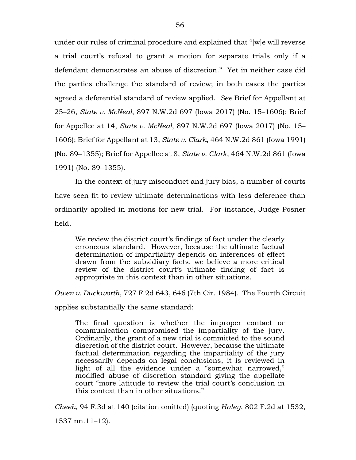under our rules of criminal procedure and explained that "[w]e will reverse a trial court's refusal to grant a motion for separate trials only if a defendant demonstrates an abuse of discretion." Yet in neither case did the parties challenge the standard of review; in both cases the parties agreed a deferential standard of review applied. *See* Brief for Appellant at 25–26, *State v. McNeal*, 897 N.W.2d 697 (Iowa 2017) (No. 15–1606); Brief for Appellee at 14, *State v. McNeal*, 897 N.W.2d 697 (Iowa 2017) (No. 15– 1606); Brief for Appellant at 13, *State v. Clark*, 464 N.W.2d 861 (Iowa 1991) (No. 89–1355); Brief for Appellee at 8, *State v. Clark*, 464 N.W.2d 861 (Iowa 1991) (No. 89–1355).

In the context of jury misconduct and jury bias, a number of courts have seen fit to review ultimate determinations with less deference than ordinarily applied in motions for new trial. For instance, Judge Posner held,

We review the district court's findings of fact under the clearly erroneous standard. However, because the ultimate factual determination of impartiality depends on inferences of effect drawn from the subsidiary facts, we believe a more critical review of the district court's ultimate finding of fact is appropriate in this context than in other situations.

*Owen v. Duckworth*, 727 F.2d 643, 646 (7th Cir. 1984). The Fourth Circuit

applies substantially the same standard:

The final question is whether the improper contact or communication compromised the impartiality of the jury. Ordinarily, the grant of a new trial is committed to the sound discretion of the district court. However, because the ultimate factual determination regarding the impartiality of the jury necessarily depends on legal conclusions, it is reviewed in light of all the evidence under a "somewhat narrowed," modified abuse of discretion standard giving the appellate court "more latitude to review the trial court's conclusion in this context than in other situations."

*Cheek*, 94 F.3d at 140 (citation omitted) (quoting *Haley*, 802 F.2d at 1532,

1537 nn.11–12).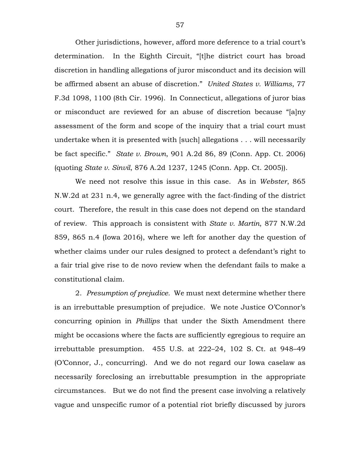Other jurisdictions, however, afford more deference to a trial court's determination. In the Eighth Circuit, "[t]he district court has broad discretion in handling allegations of juror misconduct and its decision will be affirmed absent an abuse of discretion." *United States v. Williams*, 77 F.3d 1098, 1100 (8th Cir. 1996). In Connecticut, allegations of juror bias or misconduct are reviewed for an abuse of discretion because "[a]ny assessment of the form and scope of the inquiry that a trial court must undertake when it is presented with [such] allegations . . . will necessarily be fact specific." *State v. Brown*, 901 A.2d 86, 89 (Conn. App. Ct. 2006) (quoting *State v. Sinvil*, 876 A.2d 1237, 1245 (Conn. App. Ct. 2005)).

We need not resolve this issue in this case. As in *Webster*, 865 N.W.2d at 231 n.4, we generally agree with the fact-finding of the district court. Therefore, the result in this case does not depend on the standard of review. This approach is consistent with *State v. Martin*, 877 N.W.2d 859, 865 n.4 (Iowa 2016), where we left for another day the question of whether claims under our rules designed to protect a defendant's right to a fair trial give rise to de novo review when the defendant fails to make a constitutional claim.

2. *Presumption of prejudice.* We must next determine whether there is an irrebuttable presumption of prejudice. We note Justice O'Connor's concurring opinion in *Phillips* that under the Sixth Amendment there might be occasions where the facts are sufficiently egregious to require an irrebuttable presumption. 455 U.S. at 222–24, 102 S. Ct. at 948–49 (O'Connor, J., concurring). And we do not regard our Iowa caselaw as necessarily foreclosing an irrebuttable presumption in the appropriate circumstances. But we do not find the present case involving a relatively vague and unspecific rumor of a potential riot briefly discussed by jurors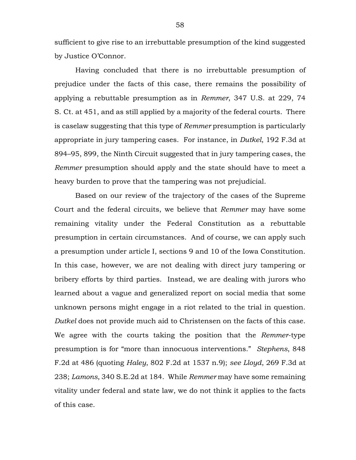sufficient to give rise to an irrebuttable presumption of the kind suggested by Justice O'Connor.

Having concluded that there is no irrebuttable presumption of prejudice under the facts of this case, there remains the possibility of applying a rebuttable presumption as in *Remmer*, 347 U.S. at 229, 74 S. Ct. at 451, and as still applied by a majority of the federal courts. There is caselaw suggesting that this type of *Remmer* presumption is particularly appropriate in jury tampering cases. For instance, in *Dutkel*, 192 F.3d at 894–95, 899, the Ninth Circuit suggested that in jury tampering cases, the *Remmer* presumption should apply and the state should have to meet a heavy burden to prove that the tampering was not prejudicial.

Based on our review of the trajectory of the cases of the Supreme Court and the federal circuits, we believe that *Remmer* may have some remaining vitality under the Federal Constitution as a rebuttable presumption in certain circumstances. And of course, we can apply such a presumption under article I, sections 9 and 10 of the Iowa Constitution. In this case, however, we are not dealing with direct jury tampering or bribery efforts by third parties. Instead, we are dealing with jurors who learned about a vague and generalized report on social media that some unknown persons might engage in a riot related to the trial in question. *Dutkel* does not provide much aid to Christensen on the facts of this case. We agree with the courts taking the position that the *Remmer*-type presumption is for "more than innocuous interventions." *Stephens*, 848 F.2d at 486 (quoting *Haley*, 802 F.2d at 1537 n.9); *see Lloyd*, 269 F.3d at 238; *Lamons*, 340 S.E.2d at 184. While *Remmer* may have some remaining vitality under federal and state law, we do not think it applies to the facts of this case.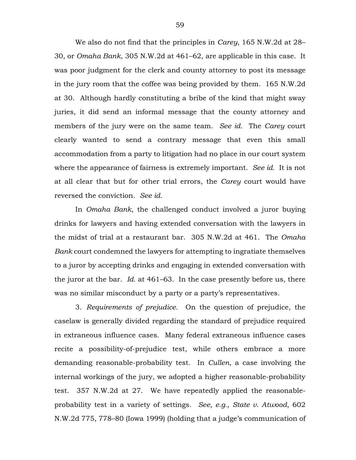We also do not find that the principles in *Carey*, 165 N.W.2d at 28– 30, or *Omaha Bank*, 305 N.W.2d at 461–62, are applicable in this case. It was poor judgment for the clerk and county attorney to post its message in the jury room that the coffee was being provided by them. 165 N.W.2d at 30. Although hardly constituting a bribe of the kind that might sway juries, it did send an informal message that the county attorney and members of the jury were on the same team. *See id.* The *Carey* court clearly wanted to send a contrary message that even this small accommodation from a party to litigation had no place in our court system where the appearance of fairness is extremely important. *See id.* It is not at all clear that but for other trial errors, the *Carey* court would have reversed the conviction. *See id.*

In *Omaha Bank*, the challenged conduct involved a juror buying drinks for lawyers and having extended conversation with the lawyers in the midst of trial at a restaurant bar. 305 N.W.2d at 461. The *Omaha Bank* court condemned the lawyers for attempting to ingratiate themselves to a juror by accepting drinks and engaging in extended conversation with the juror at the bar. *Id.* at 461–63. In the case presently before us, there was no similar misconduct by a party or a party's representatives.

3. *Requirements of prejudice.* On the question of prejudice, the caselaw is generally divided regarding the standard of prejudice required in extraneous influence cases. Many federal extraneous influence cases recite a possibility-of-prejudice test, while others embrace a more demanding reasonable-probability test. In *Cullen*, a case involving the internal workings of the jury, we adopted a higher reasonable-probability test. 357 N.W.2d at 27. We have repeatedly applied the reasonableprobability test in a variety of settings. *See, e.g.*, *State v. Atwood*, 602 N.W.2d 775, 778–80 (Iowa 1999) (holding that a judge's communication of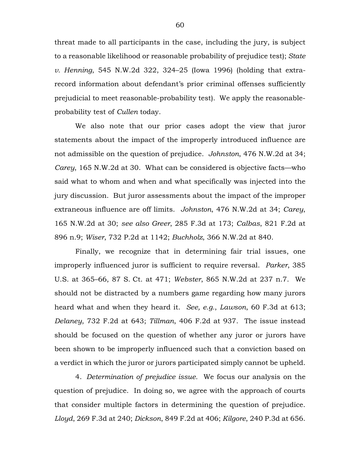threat made to all participants in the case, including the jury, is subject to a reasonable likelihood or reasonable probability of prejudice test); *State v. Henning*, 545 N.W.2d 322, 324–25 (Iowa 1996) (holding that extrarecord information about defendant's prior criminal offenses sufficiently prejudicial to meet reasonable-probability test). We apply the reasonableprobability test of *Cullen* today.

We also note that our prior cases adopt the view that juror statements about the impact of the improperly introduced influence are not admissible on the question of prejudice. *Johnston*, 476 N.W.2d at 34; *Carey*, 165 N.W.2d at 30. What can be considered is objective facts—who said what to whom and when and what specifically was injected into the jury discussion. But juror assessments about the impact of the improper extraneous influence are off limits. *Johnston*, 476 N.W.2d at 34; *Carey*, 165 N.W.2d at 30; *see also Greer*, 285 F.3d at 173; *Calbas*, 821 F.2d at 896 n.9; *Wiser*, 732 P.2d at 1142; *Buchholz*, 366 N.W.2d at 840.

Finally, we recognize that in determining fair trial issues, one improperly influenced juror is sufficient to require reversal. *Parker*, 385 U.S. at 365–66, 87 S. Ct. at 471; *Webster*, 865 N.W.2d at 237 n.7. We should not be distracted by a numbers game regarding how many jurors heard what and when they heard it. *See, e.g.*, *Lawson*, 60 F.3d at 613; *Delaney*, 732 F.2d at 643; *Tillman*, 406 F.2d at 937. The issue instead should be focused on the question of whether any juror or jurors have been shown to be improperly influenced such that a conviction based on a verdict in which the juror or jurors participated simply cannot be upheld.

4. *Determination of prejudice issue.* We focus our analysis on the question of prejudice. In doing so, we agree with the approach of courts that consider multiple factors in determining the question of prejudice. *Lloyd*, 269 F.3d at 240; *Dickson*, 849 F.2d at 406; *Kilgore*, 240 P.3d at 656.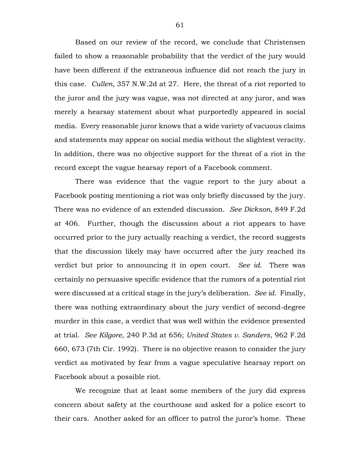Based on our review of the record, we conclude that Christensen failed to show a reasonable probability that the verdict of the jury would have been different if the extraneous influence did not reach the jury in this case. *Cullen*, 357 N.W.2d at 27. Here, the threat of a riot reported to the juror and the jury was vague, was not directed at any juror, and was merely a hearsay statement about what purportedly appeared in social media. Every reasonable juror knows that a wide variety of vacuous claims and statements may appear on social media without the slightest veracity. In addition, there was no objective support for the threat of a riot in the record except the vague hearsay report of a Facebook comment.

There was evidence that the vague report to the jury about a Facebook posting mentioning a riot was only briefly discussed by the jury. There was no evidence of an extended discussion. *See Dickson*, 849 F.2d at 406. Further, though the discussion about a riot appears to have occurred prior to the jury actually reaching a verdict, the record suggests that the discussion likely may have occurred after the jury reached its verdict but prior to announcing it in open court. *See id.* There was certainly no persuasive specific evidence that the rumors of a potential riot were discussed at a critical stage in the jury's deliberation. *See id.* Finally, there was nothing extraordinary about the jury verdict of second-degree murder in this case, a verdict that was well within the evidence presented at trial. *See Kilgore*, 240 P.3d at 656; *United States v. Sanders*, 962 F.2d 660, 673 (7th Cir. 1992). There is no objective reason to consider the jury verdict as motivated by fear from a vague speculative hearsay report on Facebook about a possible riot.

We recognize that at least some members of the jury did express concern about safety at the courthouse and asked for a police escort to their cars. Another asked for an officer to patrol the juror's home. These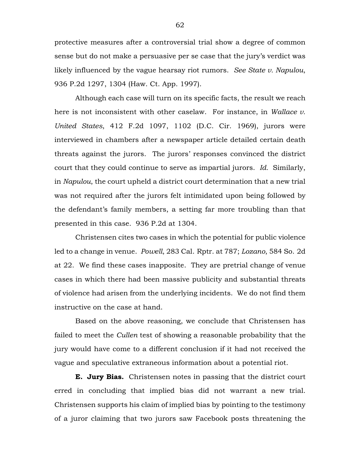protective measures after a controversial trial show a degree of common sense but do not make a persuasive per se case that the jury's verdict was likely influenced by the vague hearsay riot rumors. *See State v. Napulou*, 936 P.2d 1297, 1304 (Haw. Ct. App. 1997).

Although each case will turn on its specific facts, the result we reach here is not inconsistent with other caselaw. For instance, in *Wallace v. United States*, 412 F.2d 1097, 1102 (D.C. Cir. 1969), jurors were interviewed in chambers after a newspaper article detailed certain death threats against the jurors. The jurors' responses convinced the district court that they could continue to serve as impartial jurors. *Id.* Similarly, in *Napulou*, the court upheld a district court determination that a new trial was not required after the jurors felt intimidated upon being followed by the defendant's family members, a setting far more troubling than that presented in this case. 936 P.2d at 1304.

Christensen cites two cases in which the potential for public violence led to a change in venue. *Powell*, 283 Cal. Rptr. at 787; *Lozano*, 584 So. 2d at 22. We find these cases inapposite. They are pretrial change of venue cases in which there had been massive publicity and substantial threats of violence had arisen from the underlying incidents. We do not find them instructive on the case at hand.

Based on the above reasoning, we conclude that Christensen has failed to meet the *Cullen* test of showing a reasonable probability that the jury would have come to a different conclusion if it had not received the vague and speculative extraneous information about a potential riot.

**E. Jury Bias.** Christensen notes in passing that the district court erred in concluding that implied bias did not warrant a new trial. Christensen supports his claim of implied bias by pointing to the testimony of a juror claiming that two jurors saw Facebook posts threatening the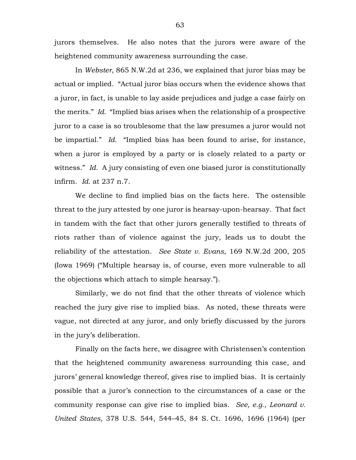jurors themselves. He also notes that the jurors were aware of the heightened community awareness surrounding the case.

In *Webster*, 865 N.W.2d at 236, we explained that juror bias may be actual or implied. "Actual juror bias occurs when the evidence shows that a juror, in fact, is unable to lay aside prejudices and judge a case fairly on the merits." *Id.* "Implied bias arises when the relationship of a prospective juror to a case is so troublesome that the law presumes a juror would not be impartial." *Id.* "Implied bias has been found to arise, for instance, when a juror is employed by a party or is closely related to a party or witness." *Id.* A jury consisting of even one biased juror is constitutionally infirm. *Id.* at 237 n.7.

We decline to find implied bias on the facts here. The ostensible threat to the jury attested by one juror is hearsay-upon-hearsay. That fact in tandem with the fact that other jurors generally testified to threats of riots rather than of violence against the jury, leads us to doubt the reliability of the attestation. *See State v. Evans*, 169 N.W.2d 200, 205 (Iowa 1969) ("Multiple hearsay is, of course, even more vulnerable to all the objections which attach to simple hearsay.").

Similarly, we do not find that the other threats of violence which reached the jury give rise to implied bias. As noted, these threats were vague, not directed at any juror, and only briefly discussed by the jurors in the jury's deliberation.

Finally on the facts here, we disagree with Christensen's contention that the heightened community awareness surrounding this case, and jurors' general knowledge thereof, gives rise to implied bias. It is certainly possible that a juror's connection to the circumstances of a case or the community response can give rise to implied bias. *See, e.g.*, *Leonard v. United States*, 378 U.S. 544, 544–45, 84 S. Ct. 1696, 1696 (1964) (per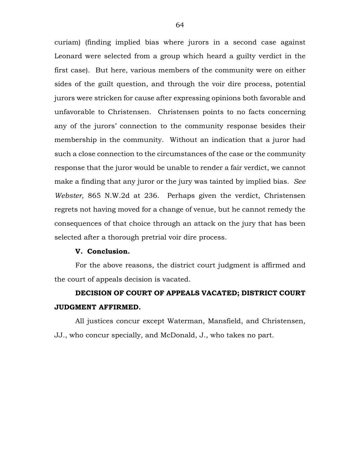curiam) (finding implied bias where jurors in a second case against Leonard were selected from a group which heard a guilty verdict in the first case). But here, various members of the community were on either sides of the guilt question, and through the voir dire process, potential jurors were stricken for cause after expressing opinions both favorable and unfavorable to Christensen. Christensen points to no facts concerning any of the jurors' connection to the community response besides their membership in the community. Without an indication that a juror had such a close connection to the circumstances of the case or the community response that the juror would be unable to render a fair verdict, we cannot make a finding that any juror or the jury was tainted by implied bias. *See Webster*, 865 N.W.2d at 236. Perhaps given the verdict, Christensen regrets not having moved for a change of venue, but he cannot remedy the consequences of that choice through an attack on the jury that has been selected after a thorough pretrial voir dire process.

#### **V. Conclusion.**

For the above reasons, the district court judgment is affirmed and the court of appeals decision is vacated.

# **DECISION OF COURT OF APPEALS VACATED; DISTRICT COURT JUDGMENT AFFIRMED.**

All justices concur except Waterman, Mansfield, and Christensen, JJ., who concur specially, and McDonald, J., who takes no part.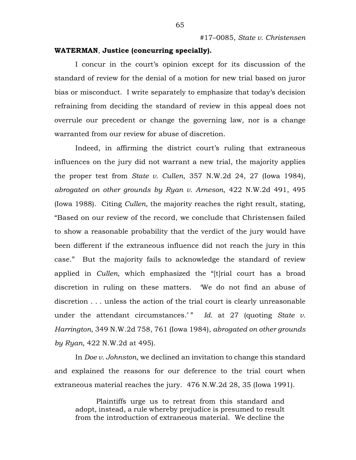## **WATERMAN**, **Justice (concurring specially).**

I concur in the court's opinion except for its discussion of the standard of review for the denial of a motion for new trial based on juror bias or misconduct. I write separately to emphasize that today's decision refraining from deciding the standard of review in this appeal does not overrule our precedent or change the governing law, nor is a change warranted from our review for abuse of discretion.

Indeed, in affirming the district court's ruling that extraneous influences on the jury did not warrant a new trial, the majority applies the proper test from *State v. Cullen*, 357 N.W.2d 24, 27 (Iowa 1984), *abrogated on other grounds by Ryan v. Arneson*, 422 N.W.2d 491, 495 (Iowa 1988). Citing *Cullen*, the majority reaches the right result, stating, "Based on our review of the record, we conclude that Christensen failed to show a reasonable probability that the verdict of the jury would have been different if the extraneous influence did not reach the jury in this case." But the majority fails to acknowledge the standard of review applied in *Cullen*, which emphasized the "[t]rial court has a broad discretion in ruling on these matters. 'We do not find an abuse of discretion . . . unless the action of the trial court is clearly unreasonable under the attendant circumstances.'" Id. at 27 (quoting *State v. Harrington*, 349 N.W.2d 758, 761 (Iowa 1984), *abrogated on other grounds by Ryan*, 422 N.W.2d at 495).

In *Doe v. Johnston*, we declined an invitation to change this standard and explained the reasons for our deference to the trial court when extraneous material reaches the jury. 476 N.W.2d 28, 35 (Iowa 1991).

Plaintiffs urge us to retreat from this standard and adopt, instead, a rule whereby prejudice is presumed to result from the introduction of extraneous material. We decline the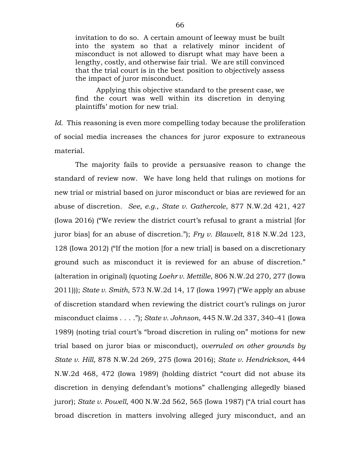invitation to do so. A certain amount of leeway must be built into the system so that a relatively minor incident of misconduct is not allowed to disrupt what may have been a lengthy, costly, and otherwise fair trial. We are still convinced that the trial court is in the best position to objectively assess the impact of juror misconduct.

Applying this objective standard to the present case, we find the court was well within its discretion in denying plaintiffs' motion for new trial.

*Id.* This reasoning is even more compelling today because the proliferation of social media increases the chances for juror exposure to extraneous material.

The majority fails to provide a persuasive reason to change the standard of review now. We have long held that rulings on motions for new trial or mistrial based on juror misconduct or bias are reviewed for an abuse of discretion. *See, e.g.*, *State v. Gathercole*, 877 N.W.2d 421, 427 (Iowa 2016) ("We review the district court's refusal to grant a mistrial [for juror bias] for an abuse of discretion."); *Fry v. Blauvelt*, 818 N.W.2d 123, 128 (Iowa 2012) ("If the motion [for a new trial] is based on a discretionary ground such as misconduct it is reviewed for an abuse of discretion." (alteration in original) (quoting *Loehr v. Mettille*, 806 N.W.2d 270, 277 (Iowa 2011))); *State v. Smith*, 573 N.W.2d 14, 17 (Iowa 1997) ("We apply an abuse of discretion standard when reviewing the district court's rulings on juror misconduct claims . . . ."); *State v. Johnson*, 445 N.W.2d 337, 340–41 (Iowa 1989) (noting trial court's "broad discretion in ruling on" motions for new trial based on juror bias or misconduct), *overruled on other grounds by State v. Hill*, 878 N.W.2d 269, 275 (Iowa 2016); *State v. Hendrickson*, 444 N.W.2d 468, 472 (Iowa 1989) (holding district "court did not abuse its discretion in denying defendant's motions" challenging allegedly biased juror); *State v. Powell*, 400 N.W.2d 562, 565 (Iowa 1987) ("A trial court has broad discretion in matters involving alleged jury misconduct, and an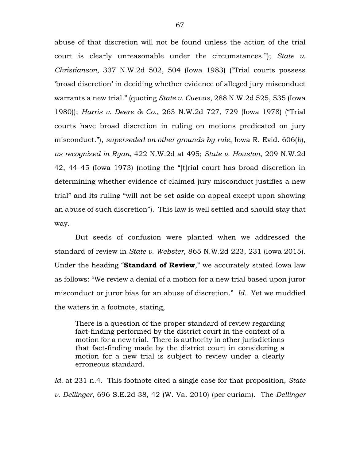abuse of that discretion will not be found unless the action of the trial court is clearly unreasonable under the circumstances."); *State v. Christianson*, 337 N.W.2d 502, 504 (Iowa 1983) ("Trial courts possess 'broad discretion' in deciding whether evidence of alleged jury misconduct warrants a new trial." (quoting *State v. Cuevas*, 288 N.W.2d 525, 535 (Iowa 1980)); *Harris v. Deere & Co.*, 263 N.W.2d 727, 729 (Iowa 1978) ("Trial courts have broad discretion in ruling on motions predicated on jury misconduct."), *superseded on other grounds by rule*, Iowa R. Evid. 606(*b*), *as recognized in Ryan*, 422 N.W.2d at 495; *State v. Houston*, 209 N.W.2d 42, 44–45 (Iowa 1973) (noting the "[t]rial court has broad discretion in determining whether evidence of claimed jury misconduct justifies a new trial" and its ruling "will not be set aside on appeal except upon showing an abuse of such discretion"). This law is well settled and should stay that way.

But seeds of confusion were planted when we addressed the standard of review in *State v. Webster*, 865 N.W.2d 223, 231 (Iowa 2015). Under the heading "**Standard of Review**," we accurately stated Iowa law as follows: "We review a denial of a motion for a new trial based upon juror misconduct or juror bias for an abuse of discretion." *Id.* Yet we muddied the waters in a footnote, stating,

There is a question of the proper standard of review regarding fact-finding performed by the district court in the context of a motion for a new trial. There is authority in other jurisdictions that fact-finding made by the district court in considering a motion for a new trial is subject to review under a clearly erroneous standard.

*Id.* at 231 n.4. This footnote cited a single case for that proposition, *State v. Dellinger*, 696 S.E.2d 38, 42 (W. Va. 2010) (per curiam). The *Dellinger*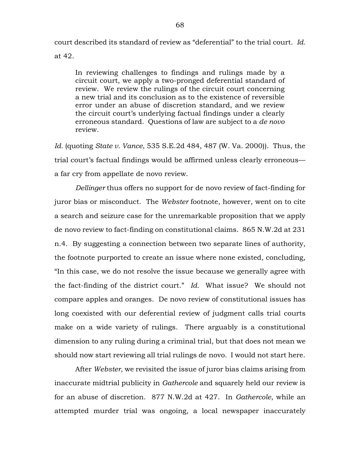court described its standard of review as "deferential" to the trial court. *Id.* at 42.

In reviewing challenges to findings and rulings made by a circuit court, we apply a two-pronged deferential standard of review. We review the rulings of the circuit court concerning a new trial and its conclusion as to the existence of reversible error under an abuse of discretion standard, and we review the circuit court's underlying factual findings under a clearly erroneous standard. Questions of law are subject to a *de novo* review.

*Id.* (quoting *State v. Vance*, 535 S.E.2d 484, 487 (W. Va. 2000)). Thus, the trial court's factual findings would be affirmed unless clearly erroneous a far cry from appellate de novo review.

*Dellinger* thus offers no support for de novo review of fact-finding for juror bias or misconduct. The *Webster* footnote, however, went on to cite a search and seizure case for the unremarkable proposition that we apply de novo review to fact-finding on constitutional claims. 865 N.W.2d at 231 n.4. By suggesting a connection between two separate lines of authority, the footnote purported to create an issue where none existed, concluding, "In this case, we do not resolve the issue because we generally agree with the fact-finding of the district court." *Id.* What issue? We should not compare apples and oranges. De novo review of constitutional issues has long coexisted with our deferential review of judgment calls trial courts make on a wide variety of rulings. There arguably is a constitutional dimension to any ruling during a criminal trial, but that does not mean we should now start reviewing all trial rulings de novo. I would not start here.

After *Webster*, we revisited the issue of juror bias claims arising from inaccurate midtrial publicity in *Gathercole* and squarely held our review is for an abuse of discretion. 877 N.W.2d at 427. In *Gathercole*, while an attempted murder trial was ongoing, a local newspaper inaccurately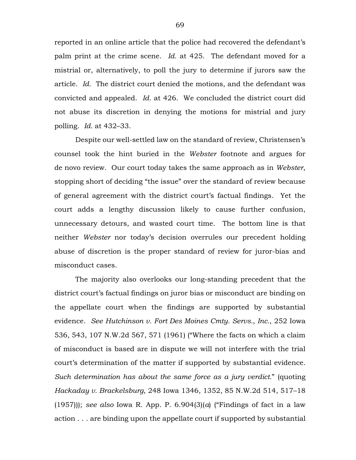reported in an online article that the police had recovered the defendant's palm print at the crime scene. *Id.* at 425. The defendant moved for a mistrial or, alternatively, to poll the jury to determine if jurors saw the article. *Id.* The district court denied the motions, and the defendant was convicted and appealed. *Id.* at 426. We concluded the district court did not abuse its discretion in denying the motions for mistrial and jury polling. *Id.* at 432–33.

Despite our well-settled law on the standard of review, Christensen's counsel took the hint buried in the *Webster* footnote and argues for de novo review. Our court today takes the same approach as in *Webster*, stopping short of deciding "the issue" over the standard of review because of general agreement with the district court's factual findings. Yet the court adds a lengthy discussion likely to cause further confusion, unnecessary detours, and wasted court time. The bottom line is that neither *Webster* nor today's decision overrules our precedent holding abuse of discretion is the proper standard of review for juror-bias and misconduct cases.

The majority also overlooks our long-standing precedent that the district court's factual findings on juror bias or misconduct are binding on the appellate court when the findings are supported by substantial evidence. *See Hutchinson v. Fort Des Moines Cmty. Servs., Inc.*, 252 Iowa 536, 543, 107 N.W.2d 567, 571 (1961) ("Where the facts on which a claim of misconduct is based are in dispute we will not interfere with the trial court's determination of the matter if supported by substantial evidence. *Such determination has about the same force as a jury verdict.*" (quoting *Hackaday v. Brackelsburg*, 248 Iowa 1346, 1352, 85 N.W.2d 514, 517–18 (1957))); *see also* Iowa R. App. P. 6.904(3)(*a*) ("Findings of fact in a law action . . . are binding upon the appellate court if supported by substantial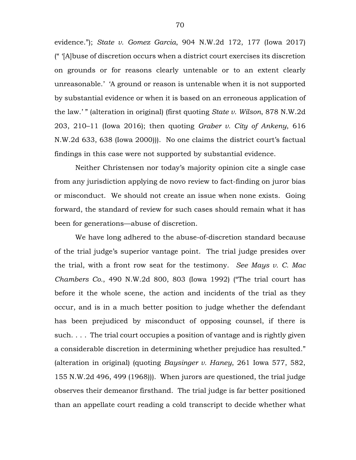evidence."); *State v. Gomez Garcia*, 904 N.W.2d 172, 177 (Iowa 2017) (" '[A]buse of discretion occurs when a district court exercises its discretion on grounds or for reasons clearly untenable or to an extent clearly unreasonable.' 'A ground or reason is untenable when it is not supported by substantial evidence or when it is based on an erroneous application of the law.' " (alteration in original) (first quoting *State v. Wilson*, 878 N.W.2d 203, 210–11 (Iowa 2016); then quoting *Graber v. City of Ankeny*, 616 N.W.2d 633, 638 (Iowa 2000))). No one claims the district court's factual findings in this case were not supported by substantial evidence.

Neither Christensen nor today's majority opinion cite a single case from any jurisdiction applying de novo review to fact-finding on juror bias or misconduct. We should not create an issue when none exists. Going forward, the standard of review for such cases should remain what it has been for generations—abuse of discretion.

We have long adhered to the abuse-of-discretion standard because of the trial judge's superior vantage point. The trial judge presides over the trial, with a front row seat for the testimony. *See Mays v. C. Mac Chambers Co.*, 490 N.W.2d 800, 803 (Iowa 1992) ("The trial court has before it the whole scene, the action and incidents of the trial as they occur, and is in a much better position to judge whether the defendant has been prejudiced by misconduct of opposing counsel, if there is such. . . . The trial court occupies a position of vantage and is rightly given a considerable discretion in determining whether prejudice has resulted." (alteration in original) (quoting *Baysinger v. Haney*, 261 Iowa 577, 582, 155 N.W.2d 496, 499 (1968))). When jurors are questioned, the trial judge observes their demeanor firsthand. The trial judge is far better positioned than an appellate court reading a cold transcript to decide whether what